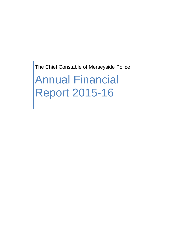The Chief Constable of Merseyside Police

Annual Financial Report 2015-16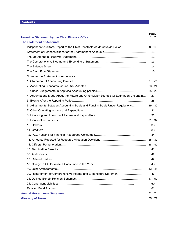# **Contents**

|                                                                                         | Page    |
|-----------------------------------------------------------------------------------------|---------|
|                                                                                         | $1 - 7$ |
| <b>The Statement of Accounts</b>                                                        |         |
| Independent Auditor's Report to the Chief Constable of Merseyside Police                | 8 - 10  |
|                                                                                         | 11      |
|                                                                                         | 12      |
|                                                                                         | 13      |
|                                                                                         | 14      |
|                                                                                         | 15      |
| Notes to the Statement of Accounts:-                                                    |         |
|                                                                                         |         |
|                                                                                         |         |
|                                                                                         |         |
| 4. Assumptions Made About the Future and Other Major Sources Of Estimation/Uncertainty. | 27      |
|                                                                                         | 28      |
| 6. Adjustments Between Accounting Basis and Funding Basis Under Regulations 29 - 30     |         |
|                                                                                         | 31      |
|                                                                                         | 31      |
|                                                                                         |         |
|                                                                                         | 33      |
|                                                                                         | 33      |
|                                                                                         | 34      |
|                                                                                         |         |
|                                                                                         |         |
|                                                                                         | 41      |
|                                                                                         | 42      |
|                                                                                         | 42      |
|                                                                                         | 43      |
|                                                                                         |         |
|                                                                                         | 46      |
|                                                                                         |         |
|                                                                                         | 60      |
|                                                                                         | 61      |
|                                                                                         |         |
|                                                                                         |         |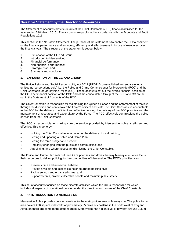The Statement of Accounts provide details of the Chief Constable's (CC) financial activities for the year ending 31st March 2016. The accounts are published in accordance with the Accounts and Audit Regulations 2015.

This section is the Narrative Statement. The purpose of the statement is to enable the CC to comment on the financial performance and economy, efficiency and effectiveness in its use of resources over the financial year. The structure of the statement is set out below.

- 1. Explanation of the CC and Group;<br>2. Introduction to Mersevside:
- Introduction to Merseyside;
- 3. Financial performance;
- 4. Non-financial performance;
- 5. Strategic risks; and
- 6. Summary and conclusion.

### **1. EXPLANATION OF THE CC AND GROUP**

The Police Reform and Social Responsibility Act 2011 (PRSR Act) established two separate legal entities as 'corporations sole', i.e. the Police and Crime Commissioner for Merseyside (PCC) and the Chief Constable of Merseyside Police (CC). These accounts set out the overall financial position of the CC. The financial position of the PCC and of the consolidated Group of the PCC and CC are set out in the Statement of Accounts of the PCC.

The Chief Constable is responsible for maintaining the Queen's Peace and the enforcement of the law, through the direction and control over the Force's officers and staff. The Chief Constable is accountable to the PCC for the delivery of efficient and effective policing, the delivery of the PCC priorities and the management of resources and expenditure by the Force. The PCC effectively commissions the police service from the Chief Constable.

The PCC is responsible for making sure the service provided by Merseyside police is efficient and effective. This is done by:-

- Holding the Chief Constable to account for the delivery of local policing;
- Setting and updating a Police and Crime Plan;
- Setting the force budget and precept;
- Regularly engaging with the public and communities; and
- Appointing, and where necessary dismissing, the Chief Constable.

The Police and Crime Plan sets out the PCC's priorities and drives the way Merseyside Police focus their resources to deliver policing for the communities of Merseyside. The PCC's priorities are:-

- Prevent crime and anti-social behaviour;
- Provide a visible and accessible neighbourhood policing style;
- Tackle serious and organised crime; and
- Support victims, protect vulnerable people and maintain public safety.

This set of accounts focuses on those discrete activities which the CC is responsible for which includes all aspects of operational policing under the direction and control of the Chief Constable.

## **2. AN INTRODUCTION TO MERSEYSIDE**

Merseyside Police provides policing services to the metropolitan area of Merseyside. The police force area covers 250 square miles with approximately 65 miles of coastline in the north west of England. Although there are some more affluent areas, Merseyside has a high level of poverty. Around 1.39m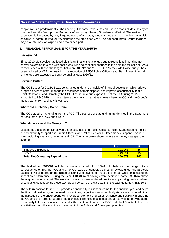people live in a predominantly urban setting. The force covers the conurbation that includes the city of Liverpool and the Metropolitan Boroughs of Knowsley, Sefton, St Helens and Wirral. The resident population is increased by very large numbers of university students and the large numbers who visit, socialise in, commute into, or travel through the area each year. The transport infrastructure includes major rail stations, an airport and a major sea port.

### **3. FINANCIAL PERFORMANCE FOR THE YEAR 2015/16**

#### **Background**

Since 2010 Merseyside has faced significant financial challenges due to reductions in funding from central government, along with cost pressures and continual changes in the demand for policing. As a consequence of these challenges, between 2011/12 and 2015/16 the Merseyside Police budget has been reduced by £77.4m, resulting in a reduction of 1,500 Police Officers and Staff. These financial challenges are expected to continue until at least 2020/21.

#### **Revenue Outturn**

The CC Budget for 2015/16 was constructed under the principle of financial devolution, which allows budget holders to better manage the resources at their disposal and improve accountability to the Chief Constable, and ultimately the PCC. The net revenue expenditure of the CC during 2015/16 amounted to £340.679m. In broad terms the following narrative shows where the CC and the Group's money came from and how it was spent.

#### **Where did our Money Come From?**

The CC gets all of its funding from the PCC. The sources of that funding are detailed in the Statement of Accounts of the PCC and Group.

#### **What did we spend the Money on?**

Most money is spent on Employee Expenses, including Police Officers, Police Staff, including Police and Community Support and Traffic Officers, and Police Pensions. Other money is spent in various ways including forensics, uniforms and ICT. The table below shows where the money was spent in 2015/16.

|                                        | Em      | 70  |
|----------------------------------------|---------|-----|
| Emplovee Expenses                      | 291.065 | 55  |
| <b>Other</b>                           | 49.614  |     |
| <b>Total Net Operating Expenditure</b> | 340.679 | 100 |

The budget for 2015/16 included a savings target of £15.396m to balance the budget. As a consequence of this, the PCC and Chief Constable undertook a series of reviews under the Strategic Excellent Policing programme aimed at identifying savings to meet this shortfall whilst minimising the impact on performance. During the year, £18.403m of savings were achieved, some £3.007m above the original savings target. The excess of savings were achieved due to savings being realised ahead of schedule, consequently these savings will be carried forward against the savings targets in 2016/17.

The outturn position for 2015/16 provides a financially resilient outcome for the financial year and helps the financial position going forward by identifying significant recurring budgetary savings. In addition, the utilisation of the under spend will provide an element of greater resilience and flexibility in enabling the CC and the Force to address the significant financial challenges ahead, as well as provide some opportunity to fund essential investment in the estate and enable the PCC and Chief Constable to invest in initiatives that will assist the achievement of the Police and Crime plan priorities.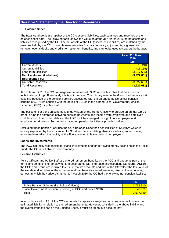### **CC Balance Sheet**

The Balance Sheet is a snapshot of the CC's assets, liabilities, cash balances and reserves at the balance sheet date. The following table shows the value as at the 31st March 2016 of the assets and liabilities recognised by the CC*.* The net assets of the CC (assets less liabilities) are matched by the reserves held by the CC. Unusable reserves arise from accountancy adjustments, e.g. used to remove notional debits and credits for retirement benefits, and cannot be used to support the budget.

|                                     | As at 31 <sup>st</sup> March<br>2016<br>Em |
|-------------------------------------|--------------------------------------------|
| <b>Current Assets</b>               | 10.210                                     |
| <b>Current Liabilities</b>          | (15.156)                                   |
| Long term Liabilities               | (3,917.685)                                |
| <b>Net Assets and (Liabilities)</b> | (3,922.631)                                |
| <b>Represented by:-</b>             |                                            |
| <b>Unusable Reserves</b>            | (3,922.631)                                |
| <b>Total Reserves</b>               | (3,922.631)                                |

At 31st March 2016 the CC had negative net assets of £3,923m which implies that the Group is technically bankrupt. Fortunately this is not the case. The primary reason the Group had negative net assets is because of the pension liabilities associated with the unfunded police officer pension scheme of £3,768m coupled with the deficit of £150m in the funded Local Government Pension Scheme (LGPS) for police staff.

The police officer pension scheme is underwritten by the Home Office who provide an annual top-up grant to fund the difference between pension payments and income from employee and employer contributions. The current deficit in the LGPS will be managed through future employee and employer contributions. Further information on pension liabilities is provided below.

Excluding these pension liabilities the CC's Balance Sheet has net liabilities of £4.946m which is entirely explained by the existence of a Short term accumulating absences liability, an accounting entry made to reflect the liability of the Force relating to leave owing to employees.

#### **Loans and Investments**

The PCC is directly responsible for loans, investments and for borrowing money as she holds the Police Fund. The CC is not able to borrow money.

## **Pension Liabilities**

Police Officers and Police Staff are offered retirement benefits by the PCC and Group as part of their terms and conditions of employment. In accordance with International Accounting Standard (IAS) 19, the PCC and Group are required to ensure that its accounts and that of the CC reflect the fair value of the assets and liabilities of the schemes and that benefits earned are recognised in the accounting periods in which they arise. As at the 31st March 2016 the CC had the following net pension liabilities:-

|                                                             | £m        |
|-------------------------------------------------------------|-----------|
| Police Pension Scheme ( <i>i.e.</i> Police Officers)        | 3.768.310 |
| Local Government Pension Scheme (i.e. PCC and Police Staff) | 149.579   |
| Total                                                       | 3 917 889 |

In accordance with IAS 19 the CC's accounts incorporate a negative pensions reserve to show the estimated liability in relation to the retirement benefits. However, considering the above liability and the overall impact it has on the Balance Sheet, it must be taken into account that;-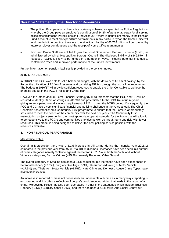- The police officer pension scheme is a statutory scheme, as specified by Police Regulations, whereby the Group pays an employer's contribution of 24.2% of pensionable pay for all serving police officers into the Police Pension Fund Account. If there is insufficient money in the Pension Fund Account to meet all expenditure commitments in any particular year, the Home Office will fund the deficit. In practice, therefore, the significant liability of £3.768 billion will be covered by future employer contributions and the receipt of Home Office grant monies.
- PCC and Police Staff are entitled to join the Local Government Pension Scheme (LGPS) as administered by Wirral Metropolitan Borough Council. The disclosed liability of £149.579m in respect of LGPS is likely to be funded in a number of ways, including potential changes to contribution rates and improved performance of the Fund's investments.

Further information on pension liabilities is provided in the pension notes.

### **2016/17 AND BEYOND**

In 2016/17 the PCC was able to set a balanced budget, with the delivery of £9.6m of savings by the Force, the utilisation of £2.4m of reserves and by raising £57.9m through the council tax requirement. The budget in 2016/17 will provide sufficient resources to enable the Chief Constable to achieve the priorities set out in the PCC's Police and Crime plan.

However, the latest Medium Term Financial Strategy (MTFS) forecasts that the PCC and CC will be required to identify £8.7m of savings in 2017/18 and potentially a further £13.4m in future years, giving an anticipated overall savings requirement of £22.1m over the MTFS period. Consequently, the PCC and CC face a very significant financial and policing challenge in the years ahead. The Chief Constable has established a Community First programme to ensure that the Force is appropriately structured to meet the needs of the community over the next 3-5 years. The Community First restructuring project seeks to find the most appropriate operating model for the Force that will allow it to be responsive to the PCC's and communities priorities as well as threat, harm and risk, with fewer resources. This model is being designed to deliver the best policing service possible with the resources available.

## **4. NON-FINANCIAL PERFORMANCE**

#### Merseyside Police

Overall in Merseyside, there was a 5.1% increase in 'All Crime' during the financial year 2015/16 compared to the previous year from, 97,007 to 101,953 crimes. Increases have been seen in a number of crime categories namely Violence against the Person (+32.8%), in both the 'with' and without' Violence categories; Sexual Crimes (+15.2%), namely Rape and Other Sexual.

The overall category of Stealing has seen a 0.5% reduction, but increases have been experienced in Personal Robbery (+2.6%), Burglary Dwelling (+8.9%), Unauthorised taking of Motor Vehicle (+17.5%) and Theft from Motor Vehicle (+1.5%). Hate Crime and Domestic Abuse Crime Types have also seen increases.

An increase in reported crime is not necessarily an undesirable outcome as in many ways reporting is encouraged and it is often a reflection of people's confidence in policing that leads to the report of a crime. Merseyside Police has also seen decreases in other crime categories which include; Business Robbery (-2.5%); Burglary Other (-9.5%) and there has been a 4.4% fall in Anti-Social Behaviour.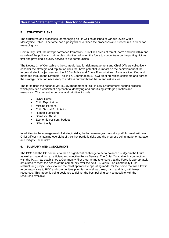## **5. STRATEGIC RISKS**

The structures and processes for managing risk is well established at various levels within Merseyside Police. The force has a policy which outlines the processes and procedures in place for managing risk.

Community First, the new performance framework, prioritises areas of threat, harm and risk within and outside of the police and crime plan priorities, allowing the force to concentrate on the putting victims first and providing a quality service to our communities.

The Deputy Chief Constable is the strategic lead for risk management and Chief Officers collectively consider the strategic and reputation risks that have potential to impact on the achievement of the force's strategic objectives and the PCC's Police and Crime Plan priorities. Risks are identified and managed through the Strategic Tasking & Coordination (ST&C) Meeting, which considers and agrees the strategic direction necessary to address current threat, harm and risk issues.

The force uses the national MoRiLE (Management of Risk in Law Enforcement) scoring process, which provides a consistent approach to identifying and prioritising strategic priorities and resources. The current force risks and priorities include:

- Cyber Crime
- Child Exploitation
- Missing Persons
- Child Sexual Exploitation
- Human Trafficking
- Domestic Abuse
- Economic position / budget
- Data Quality

In addition to the management of strategic risks, the force manages risks at a portfolio level, with each Chief Officer maintaining oversight of their key portfolio risks and the progress being made to manage and mitigate these risks.

## **6. SUMMARY AND CONCLUSION**

The PCC and the CC continue to face a significant challenge to set a balanced budget in the future, as well as maintaining an efficient and effective Police Service. The Chief Constable, in conjunction with the PCC, has established a Community First programme to ensure that the Force is appropriately structured to meet the needs of the community over the next 3-5 years. The Community First restructuring project seeks to find the most appropriate operating model for the Force that will allow it to be responsive to PCC and communities priorities as well as threat, harm and risk, with fewer resources. This model is being designed to deliver the best policing service possible with the resources available.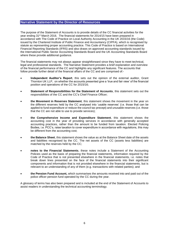The purpose of the Statement of Accounts is to provide details of the CC financial activities for the year ending 31st March 2016. The financial statements for 2014/15 have been prepared in accordance with The Code of Practice on Local Authority Accounting in the UK 2015/16 (the Code) issued by the Chartered Institute of Public Finance and Accountancy (CIPFA), which is recognised by statute as representing proper accounting practice. This Code of Practice is based on International Financial Reporting Standards (IFRS) and also draws on approved accounting standards issued by the International Public Sector Accounting Standards Board and the UK Accounting Standards Board where these provide additional guidance.

The financial statements may not always appear straightforward since they have to meet technical, legal and professional standards. The Narrative Statement provides a brief explanation and overview of the financial performance of the CC and highlights any significant features. The accounts that follow provide further detail of the financial affairs of the CC and are comprised of:-

- **Independent Auditor's Report**, this sets out the opinion of the external auditor, Grant Thornton UK LLP, on whether the accounts presented give a 'true and fair view' of the financial position and operations of the CC for 2015/16;
- **Statement of Responsibilities for the Statement of Accounts**, this statement sets out the responsibilities of the CC and the CC's Chief Finance Officer;
- **the Movement in Reserves Statement***,* this statement shows the movement in the year on the different reserves held by the CC analysed into 'usable reserves' (i.e. those that can be applied to fund expenditure or reduce the council tax precept) and unusable reserves (i.e. those that the CC are not able to use to provide services);
- **the Comprehensive Income and Expenditure Statement**, this statement shows the accounting cost in the year of providing services in accordance with generally accepted accounting practices, rather than the amount to be funded from taxation*.* Elected Policing Bodies, i.e. PCC's, raise taxation to cover expenditure in accordance with regulations, this may be different from the accounting cost;
- **the Balance Sheet**, this statement shows the value as at the Balance Sheet date of the assets and liabilities recognised by the CC. The net assets of the CC (assets less liabilities) are matched by the reserves held by the CC;
- **notes to the Financial Statements**, these notes include a Statement of the Accounting Policies used as the basis of preparing the financial statements, information required by the Code of Practice that is not presented elsewhere in the financial statements, i.e. notes that break down lines presented on the face of the financial statements into their significant components and information that is not provided elsewhere in the financial statements, but is relevant to an understanding of any of them (e.g. transactions with related parties); and
- **the Pension Fund Account,** which summarises the amounts received into and paid out of the police officer pension fund operated by the CC during the year.

A glossary of terms has also been prepared and is included at the end of the Statement of Accounts to assist readers in understanding the technical accounting terminology.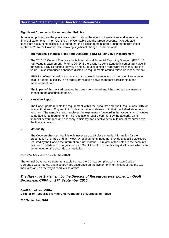#### **Significant Changes to the Accounting Policies**

Accounting policies are the principles applied to show the effect of transactions and events on the financial statements. The PCC, the Chief Constable and the Group accounts have adopted consistent accounting policies. It is noted that the policies remain largely unchanged from those applied in 2014/15. However, the following significant change has been made:-

#### **International Financial Reporting Standard (IFRS) 13 Fair Value Measurement**

The 2015/16 Code of Practice adopts International Financial Reporting Standard (IFRS) 13 Fair Value Measurement. Prior to 2015/16 there was no consistent definition of 'fair value' in the Code. IFRS 13 defines fair value and introduces a single framework for measuring fair value. It also introduces enhanced disclosure requirements around fair value measurement.

IFRS 13 defines fair value as the amount that would be received on the sale of an asset or paid to transfer a liability in an orderly transaction between market participants at the measurement date.

The impact of this revised standard has been considered and it has not had any material impact on the accounts of the CC.

#### **Narrative Report**

The Code update reflects the requirement within the Accounts and Audit Regulations 2015 for local authorities in England to include a narrative statement with their published statement of accounts. The narrative report replaces the explanatory foreword in the accounts and includes some additional requirements. The regulations require comment by the authority on its financial performance and economy, efficiency and effectiveness in its use of resources over the financial year.

#### **Materiality**

The Code emphasises that it is only necessary to disclose material information for the presentation of a "true and fair" view. A local authority need not provide a specific disclosure required by the Code if the information is not material. A review of the notes to the accounts has been undertaken in conjunction with Grant Thornton to identify any disclosures which can be removed on the grounds of materiality.

### **ANNUAL GOVERNANCE STATEMENT**

The Annual Governance Statement explains how the CC has complied with its own Code of Corporate Governance, and also provides assurance on the system of internal control that the CC maintains and on the way it conducts its affairs.

## *The Narrative Statement by the Director of Resources was signed by Geoff Broadhead CPFA on 27th September 2016*

**Geoff Broadhead CPFA Director of Resources for the Chief Constable of Merseyside Police**

**27th September 2016**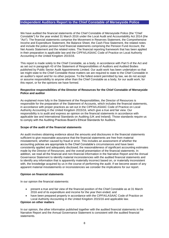## **Independent Auditors Report to the Chief Constable of Merseyside Police**

We have audited the financial statements of the Chief Constable of Merseyside Police (the "Chief Constable") for the year ended 31 March 2016 under the Local Audit and Accountability Act 2014 (the "Act"). The financial statements comprise the Movement in Reserves Statement, the Comprehensive Income and Expenditure Statement, the Balance Sheet, the Cash Flow Statement, the related notes and include the police pension fund financial statements comprising the Pension Fund Account, the Net Assets Statement and the related notes. The financial reporting framework that has been applied in their preparation is applicable law and the CIPFA/LASAAC Code of Practice on Local Authority Accounting in the United Kingdom 2015/16.

This report is made solely to the Chief Constable, as a body, in accordance with Part 5 of the Act and as set out in paragraph 43 of the Statement of Responsibilities of Auditors and Audited Bodies published by Public Sector Audit Appointments Limited. Our audit work has been undertaken so that we might state to the Chief Constable those matters we are required to state to the Chief Constable in an auditor's report and for no other purpose. To the fullest extent permitted by law, we do not accept or assume responsibility to anyone other than the Chief Constable as a body, for our audit work, for this report, or for the opinions we have formed.

#### **Respective responsibilities of the Director of Resources for the Chief Constable of Merseyside Police and auditor**

As explained more fully in the Statement of the Responsibilities, the Director of Resources is responsible for the preparation of the Statement of Accounts, which includes the financial statements, in accordance with proper practices as set out in the CIPFA/LASAAC Code of Practice on Local Authority Accounting in the United Kingdom 2015/16, which give a true and fair view. Our responsibility is to audit and express an opinion on the financial statements in accordance with applicable law and International Standards on Auditing (UK and Ireland). Those standards require us to comply with the Auditing Practices Board's Ethical Standards for Auditors.

#### **Scope of the audit of the financial statements**

An audit involves obtaining evidence about the amounts and disclosures in the financial statements sufficient to give reasonable assurance that the financial statements are free from material misstatement, whether caused by fraud or error. This includes an assessment of whether the accounting policies are appropriate to the Chief Constable's circumstances and have been consistently applied and adequately disclosed; the reasonableness of significant accounting estimates made by the Director of Resources; and the overall presentation of the financial statements. In addition, we read all the financial and non-financial information in the Narrative Report and the Annual Governance Statement to identify material inconsistencies with the audited financial statements and to identify any information that is apparently materially incorrect based on, or materially inconsistent with, the knowledge acquired by us in the course of performing the audit. If we become aware of any apparent material misstatements or inconsistencies we consider the implications for our report.

#### **Opinion on financial statements**

In our opinion the financial statements:

- present a true and fair view of the financial position of the Chief Constable as at 31 March 2016 and of its expenditure and income for the year then ended; and
- have been prepared properly in accordance with the CIPFA/LASAAC Code of Practice on Local Authority Accounting in the United Kingdom 2015/16 and applicable law.

### **Opinion on other matters**

In our opinion, the other information published together with the audited financial statements in the Narrative Report and the Annual Governance Statement is consistent with the audited financial statements.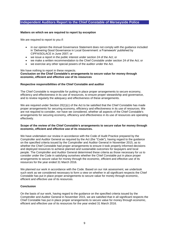## **Independent Auditors Report to the Chief Constable of Merseyside Police**

#### **Matters on which we are required to report by exception**

We are required to report to you if:

- in our opinion the Annual Governance Statement does not comply with the guidance included in 'Delivering Good Governance in Local Government: a Framework' published by CIPFA/SOLACE in June 2007; or
- we issue a report in the public interest under section 24 of the Act; or
- we make a written recommendation to the Chief Constable under section 24 of the Act; or
- we exercise any other special powers of the auditor under the Act.

We have nothing to report in these respects.

### **Conclusion on the Chief Constable's arrangements to secure value for money through economic, efficient and effective use of its resources**

#### **Respective responsibilities of the Chief Constable and auditor**

The Chief Constable is responsible for putting in place proper arrangements to secure economy, efficiency and effectiveness in its use of resources, to ensure proper stewardship and governance, and to review regularly the adequacy and effectiveness of these arrangements.

We are required under Section 20(1)(c) of the Act to be satisfied that the Chief Constable has made proper arrangements for securing economy, efficiency and effectiveness in its use of resources. We are not required to consider, nor have we considered, whether all aspects of the Chief Constable's arrangements for securing economy, efficiency and effectiveness in its use of resources are operating effectively.

#### **Scope of the review of the Chief Constable's arrangements to secure value for money through economic, efficient and effective use of its resources.**

We have undertaken our review in accordance with the Code of Audit Practice prepared by the Comptroller and Auditor General as required by the Act (the "Code"), having regard to the guidance on the specified criteria issued by the Comptroller and Auditor General in November 2015, as to whether the Chief Constable had proper arrangements to ensure it took properly informed decisions and deployed resources to achieve planned and sustainable outcomes for taxpayers and local people. The Comptroller and Auditor General determined these criteria as those necessary for us to consider under the Code in satisfying ourselves whether the Chief Constable put in place proper arrangements to secure value for money through the economic, efficient and effective use of its resources for the year ended 31 March 2016.

We planned our work in accordance with the Code. Based on our risk assessment, we undertook such work as we considered necessary to form a view on whether in all significant respects the Chief Constable has put in place proper arrangements to secure value for money through economic, efficient and effective use of its resources.

#### **Conclusion**

On the basis of our work, having regard to the guidance on the specified criteria issued by the Comptroller and Auditor General in November 2015, we are satisfied that in all significant respects the Chief Constable has put in place proper arrangements to secure value for money through economic, efficient and effective use of its resources for the year ended 31 March 2016.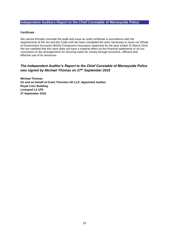## **Independent Auditors Report to the Chief Constable of Merseyside Police**

### **Certificate**

We cannot formally conclude the audit and issue an audit certificate in accordance with the requirements of the Act and the Code until we have completed the work necessary to issue our Whole of Government Accounts (WGA) Component Assurance statement for the year ended 31 March 2016. We are satisfied that this work does not have a material effect on the financial statements or on our conclusion on the arrangements for securing value for money through economic, efficient and effective use of its resources.

## *The Independent Auditor's Report to the Chief Constable of Merseyside Police was signed by Michael Thomas on 27th September 2016*

**Michael Thomas for and on behalf of Grant Thornton UK LLP, Appointed Auditor Royal Liver Building Liverpool L3 1PS 27 September 2016**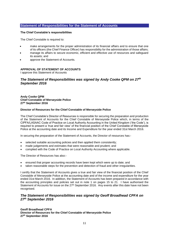## **Statement of Responsibilities for the Statement of Accounts**

### **The Chief Constable's responsibilities**

The Chief Constable is required to:

- make arrangements for the proper administration of its financial affairs and to ensure that one of its officers (the Chief Finance Officer) has responsibility for the administration of those affairs;
- manage its affairs to secure economic, efficient and effective use of resources and safeguard its assets; and
- approve the Statement of Accounts.

### **APPROVAL OF STATEMENT OF ACCOUNTS**

I approve this Statement of Accounts

## *The Statement of Responsibilities was signed by Andy Cooke QPM on 27th September 2016*

**Andy Cooke QPM Chief Constable of Merseyside Police 27th September 2016**

### **Director of Resources for the Chief Constable of Merseyside Police**

The Chief Constable's Director of Resources is responsible for securing the preparation and production of the Statement of Accounts for the Chief Constable of Merseyside Police which, in terms of the CIPFA/LASAAC Code of Practice on Local Authority Accounting in the United Kingdom ('the Code'), is required to present a 'true and fair view' of the financial position of the Chief Constable of Merseyside Police at the accounting date and its Income and Expenditure for the year ended 31st March 2016.

In securing the preparation of the Statement of Accounts, the Director of resources has:-

- selected suitable accounting policies and then applied them consistently;
- made judgements and estimates that were reasonable and prudent; and
- complied with the Code of Practice on Local Authority Accounting where applicable.

The Director of Resources has also:-

- ensured that proper accounting records have been kept which were up to date; and
- taken reasonable steps for the prevention and detection of fraud and other irregularities.

I certify that the Statement of Accounts gives a true and fair view of the financial position of the Chief Constable of Merseyside Police at the accounting date and of the income and expenditure for the year ended 31st March 2016. In addition, the Statement of Accounts has been prepared in accordance with the accounting principles and policies set out in note 1 on pages 15 to 21. I have authorised the Statement of Accounts for issue on the 27<sup>th</sup> September 2016. Any events after this date have not been recognised.

## *The Statement of Responsibilities was signed by Geoff Broadhead CPFA on 27th September 2016*

**Geoff Broadhead CPFA Director of Resources for the Chief Constable of Merseyside Police 27th September 2016**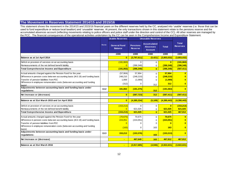## **The Movement in Reserves Statement 2014/15 and 2015/16**

This statement shows the movement in the 2014/15 and 2015/16 financial years on the different reserves held by the CC, analysed into 'usable' reserves (i.e. those that can be used to fund expenditure or reduce local taxation) and 'unusable' reserves. At present, the only transactions shown in this statement relate to the pensions reserve and the accumulated absences account (reflecting movements relating to police officers and police staff under the direction and control of the CC). All other reserves are managed by

|                                                                                      |             | <b>Usable Reserves</b>                |                                   | <b>Unusable Reserves</b>                                |              |                                 |
|--------------------------------------------------------------------------------------|-------------|---------------------------------------|-----------------------------------|---------------------------------------------------------|--------------|---------------------------------|
|                                                                                      | <b>Note</b> | <b>General Fund</b><br><b>Balance</b> | <b>Pensions</b><br><b>Reserve</b> | <b>Accumulated</b><br><b>Absences</b><br><b>Account</b> | <b>Total</b> | <b>Total</b><br><b>Reserves</b> |
|                                                                                      |             | £000                                  | £000                              | £000                                                    | £000         | £000                            |
| Balance as at 1st April 2014                                                         |             | $\mathbf{0}$                          | (3,797,611)                       | (5, 421)                                                | (3,803,032)  | (3,803,032)                     |
| Deficit on provision of services on an accounting basis                              |             | (191,063)                             |                                   | 0                                                       | 0            | (191,063)                       |
| Remeasurements of the net defined benefit liability                                  |             | $\overline{0}$                        | (396, 348)                        | 0                                                       | (396, 348)   | (396, 348)                      |
| <b>Total Comprehensive Income and Expenditure</b>                                    |             | (191, 063)                            | (396, 348)                        | $\overline{0}$                                          | (396, 348)   | (587, 411)                      |
| Actual amounts charged against the Pension Fund for the year                         |             | (57, 904)                             | 57.904                            | $\Omega$                                                | 57,904       | $\mathbf{0}$                    |
| Difference in pension costs betw een accounting basis (IAS 19) and funding basis     |             | 248,210                               | (248, 210)                        | 0                                                       | (248, 210)   | ŋ                               |
| Transfer of pension liabilities from PCC                                             |             | 1,069                                 | (1,069)                           | 0                                                       | (1,069)      | $\bf{0}$                        |
| Difference in employee remuneration costs (betw een accounting and funding<br>basis) |             | (312)                                 | 0                                 | 312                                                     | 312          | $\mathbf{0}$                    |
| Adjustments between accounting basis and funding basis under<br>regulations:         | 13.2        | 191,063                               | (191, 375)                        | 312                                                     | (191,063)    | $\bf{0}$                        |
| Net increase or (decrease)                                                           |             | $\overline{0}$                        | (587, 723)                        | 312                                                     | (587, 411)   | (587, 411)                      |
|                                                                                      |             |                                       |                                   |                                                         |              |                                 |
| Balance as at 31st March 2015 and 1st April 2015                                     |             | $\bf{0}$                              | (4,385,334)                       | (5, 109)                                                | (4,390,443)  | (4,390,443)                     |
| Deficit on provision of services on an accounting basis                              |             | (153, 213)                            |                                   | 0                                                       | $\mathbf{0}$ | (153, 213)                      |
| Remeasurements of the net defined benefit liability                                  |             | $\overline{0}$                        | 621,025                           | 0                                                       | 621,025      | 621,025                         |
| <b>Total Comprehensive Income and Expenditure</b>                                    |             | (153, 213)                            | 621,025                           | $\overline{0}$                                          | 621,025      | 467,812                         |
| Actual amounts charged against the Pension Fund for the year                         |             | (70, 675)                             | 70,675                            | 0                                                       | 70,675       | $\mathbf{0}$                    |
| Difference in pension costs betw een accounting basis (IAS 19) and funding basis     |             | 224,051                               | (224, 051)                        | 0                                                       | (224, 051)   | $\bf{0}$                        |
| Transfer of pension liabilities from PCC                                             |             | $\Omega$                              |                                   | 0                                                       | $\bf{0}$     | $\bf{0}$                        |
| Difference in employee remuneration costs (betw een accounting and funding<br>basis) |             | (163)                                 | 0                                 | 163                                                     | 163          | $\bf{0}$                        |
| Adjustments between accounting basis and funding basis under                         | 13.3        | 153,213                               | (153, 376)                        |                                                         | (153, 213)   | $\bf{0}$                        |
| regulations:                                                                         |             |                                       |                                   | 163                                                     |              |                                 |
| Net increase or (decrease)                                                           |             |                                       | 467,649                           | 163                                                     | 467,812      | 467,812                         |
| Balance as at 31st March 2016                                                        |             | $\blacksquare$                        | (3,917,685)                       | (4,946)                                                 | (3,922,631)  | (3,922,631)                     |
|                                                                                      |             |                                       |                                   |                                                         |              |                                 |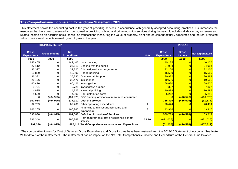## **The Comprehensive Income and Expenditure Statement (CIES)**

This statement shows the accounting cost in the year of providing services in accordance with generally accepted accounting practices. It summarises the resources that have been generated and consumed in providing policing and crime reduction services during the year. It includes all day to day expenses and related income on an accruals basis, as well as transactions measuring the value of property, plant and equipment actually consumed and the real projected value of retirement benefits earned by employees in the year.

|                                    | 2014/15 Restated*   |                                  |                                                        |             | 2015/16                            |                               |                        |
|------------------------------------|---------------------|----------------------------------|--------------------------------------------------------|-------------|------------------------------------|-------------------------------|------------------------|
| <b>Gross</b><br><b>Expenditure</b> | <b>Gross Income</b> | <b>Net</b><br><b>Expenditure</b> |                                                        | <b>Note</b> | <b>Gross</b><br><b>Expenditure</b> | <b>Gross</b><br><b>Income</b> | <b>Net Expenditure</b> |
| £000                               | £000                | £000                             |                                                        |             | £000                               | £000                          | £000                   |
| 142,405                            | 0                   |                                  | 142,405 Local policing                                 |             | 140,135                            |                               | 140, 135               |
| 27,112                             | 0                   |                                  | 27,112 Dealing with the public                         |             | 24,984                             |                               | 24,984                 |
| 32,327                             | 0                   | 32,327                           | Criminal justice arrangements                          |             | 32,106                             |                               | 32,106                 |
| 12,890                             | 0                   |                                  | 12,890 Roads policing                                  |             | <b>15,559</b>                      |                               | 15,559                 |
| 36,332                             | 0                   |                                  | 36,332 Operational Support                             |             | 30,982                             |                               | 30,982                 |
| 26,476                             | 0                   |                                  | 26,476 Intelligence                                    |             | 19,596                             |                               | 19,596                 |
| 60,426                             | 0                   | 60,426                           | Investigation                                          |             |                                    |                               | 68,620                 |
| 9,721                              | 0                   | 9,721                            | Investigative support                                  |             | 7,307                              |                               | 7,307                  |
| 14,825                             | 0                   |                                  | 14,825 National policing                               |             | 10,898                             |                               | 10,898                 |
| 4,500                              | 0                   |                                  | 4,500 Non-distributed costs                            |             | 5,212                              |                               | 5,212                  |
| 0                                  | (404, 925)          |                                  | (404,925) PCC funding for financial resources consumed |             | $\mathbf 0$                        | (416, 576)                    | (416, 576)             |
| 367,014                            | (404, 925)          |                                  | $(37,911)$ Cost of services                            |             | 355,399                            | (416, 576)                    | (61, 177)              |
| 62,709                             | 0                   |                                  | 62,709 Other operating expenditure                     | 7           | 70,474                             |                               | 70,474                 |
| 166,265                            | 0                   | 166,265                          | Financing and investment income and<br>expenditure     | 8           | 143,916                            | $\Omega$                      | 143,916                |
| 595,988                            | (404, 925)          | 191,063                          | Deficit on Provision of Services                       |             | 569,789                            | (416, 576)                    | 153,213                |
| 396,348                            | 0                   | 396,348                          | Remeasurements of the net defined benefit<br>liability | 21.16       | (621, 025)                         | $\Omega$                      | (621, 025)             |
| 992,336                            | (404, 925)          |                                  | 587,411 Total Comprehensive Income and Expenditure     |             | (51, 236)                          | (416, 576)                    | (467, 812)             |

\*The comparative figures for Cost of Services Gross Expenditure and Gross Income have been restated from the 2014/15 Statement of Accounts. See **Note 20** for details of the restatement. The restatement has no impact on the Net Total Comprehensive Income and Expenditure or the General Fund Balance.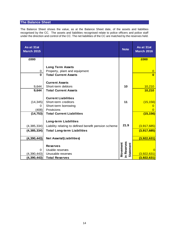# **The Balance Sheet**

The Balance Sheet shows the value, as at the Balance Sheet date, of the assets and liabilities recognised by the CC. The assets and liabilities recognised relate to police officers and police staff under the direction and control of the CC. The net liabilities of the CC are matched by the reserves held.

| As at 31st<br><b>March 2015</b> |                                                          | <b>Note</b>                                 | As at 31st<br><b>March 2016</b> |
|---------------------------------|----------------------------------------------------------|---------------------------------------------|---------------------------------|
| £000                            |                                                          |                                             | £000                            |
| 0                               | <b>Long Term Assets</b><br>Property, plant and equipment |                                             | $\overline{0}$                  |
| $\Omega$                        | <b>Total Current Assets</b>                              |                                             | $\mathbf{0}$                    |
|                                 | <b>Current Assets</b>                                    |                                             |                                 |
| 9,644                           | Short-term debtors                                       | 10                                          | 10,210                          |
| 9,644                           | <b>Total Current Assets</b>                              |                                             | 10,210                          |
| (14, 345)                       | <b>Current Liabilities</b><br>Short-term creditors       | 11                                          | (15, 156)                       |
| 0                               | Short-term borrowing                                     |                                             |                                 |
| (408)                           | Provisions                                               |                                             | O                               |
| (14, 753)                       | <b>Total Current Liabilities</b>                         |                                             | (15, 156)                       |
|                                 | <b>Long-term Liabilities</b>                             |                                             |                                 |
| (4,385,334)                     | Liability relating to defined benefit pension scheme     | 21.9                                        | (3, 917, 685)                   |
| (4,385,334)                     | <b>Total Long-term Liabilities</b>                       |                                             | (3,917,685)                     |
| (4, 390, 443)                   | <b>Net Assets/(Liabilities)</b>                          |                                             | (3,922,631)                     |
| 0                               | <b>Reserves</b><br>Usable reserves                       | in Reserves<br>Movement<br><b>Statement</b> | $\Omega$                        |
| (4,390,443)                     | Unusable reserves                                        |                                             | (3,922,631)                     |
| (4,390,443)                     | <b>Total Reserves</b>                                    |                                             | (3,922,631)                     |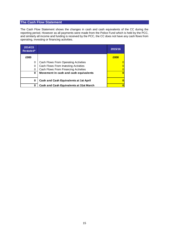## **The Cash Flow Statement**

The Cash Flow Statement shows the changes in cash and cash equivalents of the CC during the reporting period. However as all payments were made from the Police Fund which is held by the PCC, and similarly all income and funding is received by the PCC, the CC does not have any cash flows from operating, investing or financing activities.

| 2014/15<br>Restated* |                                         | 2015/16 |
|----------------------|-----------------------------------------|---------|
| £000                 |                                         | £000    |
| 0                    | Cash Flows From Operating Activities    |         |
| $\Omega$             | Cash Flows From Investing Activities    |         |
| 0                    | Cash Flows From Financing Activities    |         |
| 0                    | Movement in cash and cash equivalents   |         |
| 0                    | Cash and Cash Equivalents at 1st April  |         |
| 0                    | Cash and Cash Equivalents at 31st March |         |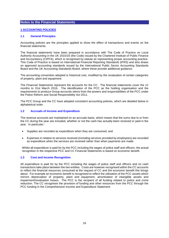## **1 ACCOUNTING POLICIES**

#### **1.1 General Principles**

Accounting policies are the principles applied to show the effect of transactions and events on the financial statements.

The financial statements have been prepared in accordance with The Code of Practice on Local Authority Accounting in the UK 2015/16 (the Code) issued by the Chartered Institute of Public Finance and Accountancy (CIPFA), which is recognised by statute as representing proper accounting practice. This Code of Practice is based on International Financial Reporting Standards (IFRS) and also draws on approved accounting standards issued by the International Public Sector Accounting Standards Board and the UK Accounting Standards Board, where these provide additional guidance.

The accounting convention adopted is historical cost, modified by the revaluation of certain categories of property, plant and equipment.

The Financial Statements represent the accounts for the CC. The financial statements cover the 12 months to 31st March 2016. The identification of the PCC as the holding organisation and the requirements to produce Group accounts stems from the powers and responsibilities of the PCC under the Police Reform and Social Responsibility Act 2011.

The PCC Group and the CC have adopted consistent accounting policies, which are detailed below in alphabetical order.

### **1.2 Accruals of Income and Expenditure**

The revenue accounts are maintained on an accruals basis, which means that the sums due to or from the CC during the year are included, whether or not the cash has actually been received or paid in the year. In particular:-

- Supplies are recorded as expenditure when they are consumed; and
- Expenses in relation to services received (including services provided by employees) are recorded as expenditure when the services are received rather than when payments are made.

Whilst all expenditure is paid for by the PCC including the wages of police staff and officers, the actual recognition in the respective PCC and CC Financial Statements is based on economic benefit.

## **1.3 Cost and Income Recognition**

All expenditure is paid for by the PCC including the wages of police staff and officers and no cash transactions take place between the two entities. Costs are however recognised within the CC accounts to reflect the financial resources consumed at the request of CC and the economic benefit this brings about. For example an economic benefit is recognised to reflect the utilisation of the PCC assets which mirrors depreciation of property, plant and equipment, amortisation of intangible assets and impairment/revaluation losses. The PCC is the recipient of all funding related to police and crime reduction. The CC recognises the provision of funding and other resources from the PCC through the PCC funding in the Comprehensive Income and Expenditure Statement.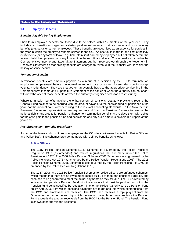## **1.4 Employee Benefits**

### *Benefits Payable During Employment*

Short-term employee benefits are those due to be settled within 12 months of the year-end. They include such benefits as wages and salaries, paid annual leave and paid sick leave and non-monetary benefits (e.g. cars) for current employees. These benefits are recognised as an expense for services in the year in which the employee renders service to the CC. An accrual is made for the cost of holiday entitlements (or any form of leave, e.g. time off in lieu) earned by employees but not taken before the year-end which employees can carry forward into the next financial year. The accrual is charged to the Comprehensive Income and Expenditure Statement but then reversed out through the Movement in Reserves Statement so that holiday benefits are charged to revenue in the financial year in which the holiday absence occurs.

### *Termination Benefits*

Termination benefits are amounts payable as a result of a decision by the CC to terminate an employee's employment before the normal retirement date or an employee's decision to accept voluntary redundancy. They are charged on an accruals basis to the appropriate service line in the Comprehensive Income and Expenditure Statement at the earlier of when the authority can no longer withdraw the offer of those benefits or when the authority recognises costs for a restructuring.

Where termination benefits involve the enhancement of pensions, statutory provisions require the General Fund balance to be charged with the amount payable to the pension fund or pensioner in the year, not the amount calculated according to the relevant accounting standards. In the Movement in Reserves Statement, appropriations are required to and from the Pensions Reserve to remove the notional debits and credits for pension enhancement termination benefits and replace them with debits for the cash paid to the pension fund and pensioners and any such amounts payable but unpaid at the year-end.

## *Post Employment Benefits (Pensions)*

As part of the terms and conditions of employment the CC offers retirement benefits for Police Officers and Police Staff. The schemes provide members with defined benefits as follows:-

#### **Police Officers**

The 1987 Police Pension Scheme (1987 Scheme) is governed by the Police Pensions Regulation 1987 (as amended) and related regulations that are made under the Police Pensions Act 1976. The 2006 Police Pension Scheme (2006 Scheme) is also governed by the Police Pensions Act 1976 (as amended by the Police Pension Regulations 2006). The 2015 Police Pension Scheme (2015 Scheme) is also governed by the Police Pensions Act 1976 (as amended by the Police Pension Regulations 2015).

The 1987, 2006 and 2015 Police Pension Schemes for police officers are unfunded schemes, which means that there are no investment assets built up to meet the pensions liabilities, and cash has to be generated to meet the actual payments as they fall due. The CC is required by legislation to operate a Pension Fund with the amounts that must be paid into or out of the Pension Fund being specified by regulation. The former Police Authority set up a Pension Fund on 1st April 2006 from which pensions payments are made and into which contributions from the PCC and employees are received. The PCC then receives a top-up grant from the Government equal to the sum by which the amount payable for pensions from the Pension Fund exceeds the amount receivable from the PCC into the Pension Fund. The Pension Fund is shown separately in the Accounts.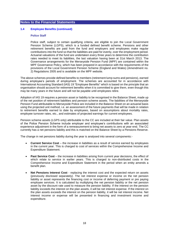### **1.4 Employee Benefits (continued)**

### **Police Staff**

Police staff, subject to certain qualifying criteria, are eligible to join the Local Government Pension Scheme (LGPS), which is a funded defined benefit scheme. Pensions and other retirement benefits are paid from the fund and employers and employees make regular contributions into the fund so that the liabilities are paid for evenly, over the employment period. Actuarial valuations of the fund are undertaken every three years to determine the contribution rates needed to meet its liabilities, the last valuation having been at 31st March 2013. The Governance arrangements for the Merseyside Pension Fund (MPF) are contained within the MPF Governance Policy, which has been prepared in accordance with the requirements of the provisions of the Local Government Pension Scheme (England and Wales) (Amendment no. 2) Regulations 2005 and is available on the MPF website.

The above schemes provide defined benefits to members (retirement lump sums and pensions), earned during employee's periods of employment. The schemes are accounted for in accordance with International Accounting Standard (IAS) 19 "Employee Benefits" which is based on the principle that an organisation should account for retirement benefits when it is committed to give them, even though this may be many years in the future and will not be payable until employees retire.

Adoption of IAS 19 requires a pension asset or liability to be recognised in the Balance Sheet, made up of the net position of retirement liabilities and pension scheme assets. The liabilities of the Merseyside Pension Fund attributable to Merseyside Police are included in the Balance Sheet on an actuarial basis using the projected unit method, i.e. an assessment of the future payments that will be made in relation to retirement benefits earned to date by employees, based on assumptions about mortality rates, employee turnover rates, etc., and estimates of projected earnings for current employees.

Pension scheme assets (LGPS only) attributable to the CC are included at their fair value. Plan assets of the Police Pension Scheme include employer and employee's contributions with an associated experience adjustment in the form of a remeasurement to bring net assets to zero at year-end. The CC currently has a net pensions liability and this is matched on the Balance Sheet by a Pensions Reserve.

The change in net pensions liability during the year is analysed into several components:-

- **Current Service Cost** the increase in liabilities as a result of service earned by employees in the current year. This is charged to cost of services within the Comprehensive Income and Expenditure Statement.
- **Past Service Cost** the increase in liabilities arising from current year decisions, the effect of which relate to service in earlier years. This is charged to non-distributed costs in the Comprehensive Income and Expenditure Statement in the period when an entity amends a benefit plan.
- **Net Pensions Interest Cost** replacing the interest cost and the expected return on assets (previously disclosed separately). The net interest expense or income on the net pension liability or asset represents the financing cost or income of deferring payment or pre paying employee services. It is calculated by multiplying the net pension liability or the net pension asset by the discount rate used to measure the pension liability. If the interest on the pension liability exceeds the interest on the plan assets, it will be net interest expense. If the interest on the plan assets exceeds the interest on the pension liability, it will be net interest income. Net interest income or expense will be presented in financing and investment income and expenditure.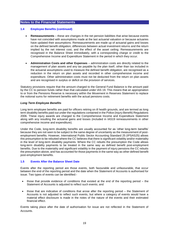## **1.4 Employee Benefits (continued)**

- **Remeasurements** these are changes in the net pension liabilities that arise because events have not coincided with assumptions made at the last actuarial valuation or because actuaries have updated their assumptions. Remeasurements are made up of actuarial gains and losses on the defined benefit obligation, differences between actual investment returns and the return implied by the net interest cost, and the effect of the asset ceiling. Remeasurements are recognised in the Balance Sheet immediately, with a corresponding charge or credit to the Comprehensive Income and Expenditure Statement in the period in which they occur.
- **Administration Costs and other Expenses** administration costs are directly related to the management of plan assets and any tax payable by the plan itself, other than tax included in the actuarial assumptions used to measure the defined benefit obligation, are recognised as a reduction in the return on plan assets and recorded in other comprehensive income and expenditure. Other administration costs must not be deducted from the return on plan assets and are recognised in surplus or deficit on the provision of services.

Statutory provisions require that the amount charged to the General Fund Balance is the amount paid by the CC to pension funds rather than that calculated under IAS 19. This means that an appropriation to or from the Pensions Reserve is necessary within the Movement in Reserves Statement to replace the notional sums for retirement benefits with the actual pensions costs.

### *Long Term Employee Benefits*

Long term employee benefits are paid for officers retiring on ill health grounds, and are termed as long term disability benefits paid out under the regulations contained in the Police (Injury Benefit) Regulations 2006. These injury awards are charged to the Comprehensive Income and Expenditure Statement along with any resulting the actuarial gains and losses (included in IAS19 remeasurements in other comprehensive income and expenditure).

Under the Code, long-term disability benefits are usually accounted for as 'other long-term benefits' because they are not seen to be subject to the same degree of uncertainty as the measurement of postemployment benefits. However, International Public Sector Accounting Standard 25 (IPSAS25) allows this presumption to be rebutted where the CC believes that there is significant volatility and/or materiality in the level of long-term disability payments. Where the CC rebutts the presumption the Code allows long-term disability payments to be treated in the same way as defined benefit post-employment benefits. Due to the materiality and significant volatility in the payment of injury pensions the CC rebutts the presumption above, and has accounted for those payments in the same way as other defined benefit post-employment benefits.

## **1.5 Events After the Balance Sheet Date**

Events after the reporting period are those events, both favourable and unfavourable, that occur between the end of the reporting period and the date when the Statement of Accounts is authorised for issue. Two types of events can be identified:-

- those that provide evidence of conditions that existed at the end of the reporting period the Statement of Accounts is adjusted to reflect such events; and
- those that are indicative of conditions that arose after the reporting period the Statement of Accounts is not adjusted to reflect such events, but where a category of events would have a material effect disclosure is made in the notes of the nature of the events and their estimated financial effect.

Events taking place after the date of authorisation for issue are not reflected in the Statement of Accounts.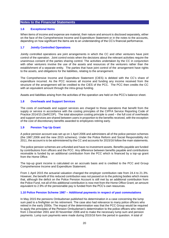## **1.6 Exceptional Items**

When items of income and expense are material, their nature and amount is disclosed separately, either on the face of the Comprehensive Income and Expenditure Statement or in the notes to the accounts, depending on how significant the items are to an understanding of the CC's financial performance.

## **1.7 Jointly Controlled Operations**

Jointly controlled operations are joint arrangements in which the CC and other venturers have joint control of the operation. Joint control exists when the decisions about the relevant activities require the unanimous consent of the parties sharing control. The activities undertaken by the CC in conjunction with other venturers involve the use of the assets and resources of the venturers rather than the establishment of a separate entity. The parties that have joint control of the arrangement have rights to the assets, and obligations for the liabilities, relating to the arrangement.

The Comprehensive Income and Expenditure Statement (CIES) is debited with the CC's share of expenditure incurred. As the PCC receives all income and funding any income received from the structure of the arrangement will be credited to the CIES of the PCC. The PCC then credits the CC with an equivalent amount through the intra-group funding.

Assets and liabilities arising from the activities of the operation are held on the PCC's balance sheet.

## **1.8 Overheads and Support Services**

The costs of overheads and support services are charged to those operations that benefit from the supply or service in accordance with the costing principles of the CIPFA Service Reporting Code of Practice 2014/15 (SeRCOP). The total absorption costing principle is used – the full cost of overheads and support services are shared between users in proportion to the benefits received, with the exception of the cost of discretionary benefits awarded to employees retiring early.

## **1.9 Pension Top Up Grant**

A police pension account was set up on 1 April 2006 and administers all of the police pension schemes (the 1987,2006 and the new 2015 schemes). Under the Police Reform and Social Responsibility Act 2011, the account is to be administered by the CC and accounts for 2015/16 follow the main statements.

The police pension schemes are unfunded and have no investment assets. Benefits payable are funded by contributions from officers and the PCC. Any difference between benefits payable and contributions receivable is funded by an additional contribution from the PCC which is financed by a top-up grant from the Home Office.

The top-up grant income is calculated on an accruals basis and is credited to the PCC and Group Comprehensive Income and Expenditure Statement.

From 1 April 2015 the actuarial valuation changed the employer contribution rate from 24.4 to 21.3%. However, the benefit of this reduced contribution was not passed on to the policing bodies which means that, although the deficit on the Police Pension Account is still met by an additional contribution from the Police Fund, not all of this additional contribution is now met from the Home Office Grant; an amount equivalent to 2.9% of the pensionable pay is funded from the PCC's own resources.

## **1.10 Police Pension Scheme 1987 – Additional payments in respect of past commutations**

In May 2015 the pensions Ombudsman published his determination in a case concerning the lump sum paid to a firefighter on his retirement. The case also had relevance to many police officers who retired in the early 2000s. The impact of the determination was that the PCC Group would be required to apply the principles of the Pension Ombudsman's determination to the police officers who retired from 1 December 2001 and 30 November 2006 and to make the necessary lump sum and pension payments. Lump sum payments were made during 2015/16 form the period in question. A total of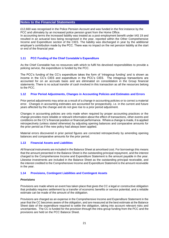£12,660 was recognised in the Police Pension Account and was funded in the first instance by the PCC and ultimately by an increased police pension grant from the Home Office.

In accounting terms the increased liability was treated as a post-employment benefit under IAS 19 and resulted in an actuarial loss being recognised in the year, reported within the Other Comprehensive Income and Expenditure section of the CIES. The liability was discharged in year by the additional employer's contribution made by the PCC. There was no impact on the net pension liability at the start or end of the financial year.

### **1.11 PCC Funding of the Chief Constable's Expenditure**

As the Chief Constable has no resources with which to fulfil his devolved responsibilities to provide a policing service, the expenditure is funded by the PCC.

The PCC's funding of the CC's expenditure takes the form of 'intragroup funding' and is shown as income in the CC's CIES and expenditure in the PCC's CIES. The intragroup transactions are accounted for on an accruals basis and are eliminated on consolidation in the Group financial statements. There is no actual transfer of cash involved in this transaction as all the resources belong to the PCC.

#### **1.12 Prior Period Adjustments, Changes in Accounting Policies and Estimates and Errors**

Prior period adjustments may arise as a result of a change in accounting policies or to correct a material error. Changes in accounting estimates are accounted for prospectively, i.e. in the current and future years affected by the change and do not give rise to a prior period adjustment.

Changes in accounting policies are only made when required by proper accounting practices or the change provides more reliable or relevant information about the effect of transactions, other events and conditions on the CC's financial position or financial performance. Where a change is made, it is applied retrospectively (unless stated otherwise) by adjusting opening balances and comparative amounts for the prior period as if the new policy had always been applied.

Material errors discovered in prior period figures are corrected retrospectively by amending opening balances and comparative amounts for the prior period.

#### **1.13 Financial Assets and Liabilities**

All financial instruments are included in the Balance Sheet at amortised cost. For borrowings this means that the amount presented in the Balance Sheet is the outstanding principal repayment, and the interest charged to the Comprehensive Income and Expenditure Statement is the amount payable in the year. Likewise investments are included in the Balance Sheet as the outstanding principal receivable, and the interest credited to the Comprehensive Income and Expenditure Statement is the amount receivable in the year.

#### **1.14 Provisions, Contingent Liabilities and Contingent Assets**

#### *Provisions*

Provisions are made where an event has taken place that gives the CC a legal or constructive obligation that probably requires settlement by a transfer of economic benefits or service potential, and a reliable estimate can be made of the amount of the obligation.

Provisions are charged as an expense in the Comprehensive Income and Expenditure Statement in the year that the CC becomes aware of the obligation, and are measured at the best estimate at the Balance Sheet date of the expenditure required to settle the obligation, taking into account relevant risks and uncertainties. The CC is funded for the provision through the intra-group funding from the PCC and the provisions are held on the PCC Balance Sheet.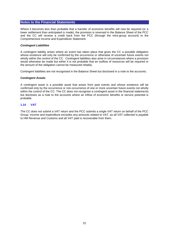Where it becomes less than probable that a transfer of economic benefits will now be required (or a lower settlement than anticipated is made), the provision is reversed in the Balance Sheet of the PCC and the CC will receive a credit back from the PCC (through the intra-group account) to the Comprehensive Income and Expenditure Statement.

### *Contingent Liabilities*

A contingent liability arises where an event has taken place that gives the CC a possible obligation whose existence will only be confirmed by the occurrence or otherwise of uncertain future events not wholly within the control of the CC. Contingent liabilities also arise in circumstances where a provision would otherwise be made but either it is not probable that an outflow of resources will be required or the amount of the obligation cannot be measured reliably.

Contingent liabilities are not recognised in the Balance Sheet but disclosed in a note to the accounts.

#### *Contingent Assets*

A contingent asset is a possible asset that arises from past events and whose existence will be confirmed only by the occurrence or non-occurrence of one or more uncertain future events not wholly within the control of the CC. The CC does not recognise a contingent asset in the financial statements but discloses as a note to the accounts where an inflow of economic benefits or service potential is probable.

### **1.14 VAT**

The CC does not submit a VAT return and the PCC submits a single VAT return on behalf of the PCC Group. Income and expenditure excludes any amounts related to VAT, as all VAT collected is payable to HM Revenue and Customs and all VAT paid is recoverable from them.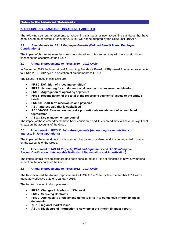## **2. ACCOUNTING STANDARDS ISSUED, NOT ADOPTED**

The following sets out amendments to accounting standards or new accounting standards that have been issued on or before 1<sup>st</sup> January 2016 but will not be adopted by the Code until 2016/17.

### **2.1 Amendments to IAS 19** *Employee Benefits* **(Defined Benefit Plans: Employee Contributions)**

The impact of this amendment has been considered and it is deemed they will have no significant impact on the accounts of the Group

### **2.2 Annual Improvements to IFRSs 2010 – 2012 Cycle**

In December 2013 the International Accounting Standards Board (IASB) issued Annual Improvements to IFRSs 2010-2012 cycle, a collection of amendments to IFRSs

The issues included in this cycle are:-

- **IFRS 2: Definition of a 'vesting condition'**
- **IFRS 3: Accounting for contingent consideration in a business combination**
- **IFRS 8: Aggregation of operating segments**
- **IFRS 8: Reconciliation of the total of the reportable segments' assets to the entity's assets**
- **IFRS 13: Short-term receivables and payables**
- **IAS 7: Interest paid that is capitalised**
- **IAS 16/IAS38: Revaluation method – proportionate restatement of accumulated depreciation**
- **IAS 24: Key management personnel**

The impact of these amendments have been considered and it is deemed they will have no significant impact on the accounts of the Group

### **2.3 Amendment to IFRS 11** *Joint Arrangements* **(Accounting for Acquisitions of Interests in Joint Operations)**

The impact of the amendment to this standard has been considered and it is not expected to impact on the accounts of the Group.

### **2.4 Amendment to IAS 16** *Property, Plant and Equipment* **and IAS 38** *Intangible Assets* **(Clarification of Acceptable Methods of Depreciation and Amortisation)**

The impact of this revised standard has been considered and it is not expected to have any material impact on the accounts of the Group.

### **2.5 Annual Improvements to IFRSs 2012 – 2014 Cycle**

The IASB finalised the Annual Improvement to IFRSs 2012-2014 Cycle in September 2014 with a mandatory effective date of 1 January 2016.

The issues included in this cycle are: -

- **IFRS 5: Changes in Methods of Disposal**
- **IFRS 7: Servicing Contracts**
- **IFRS 7: Applicability of the amendments to IFRS 7 to condensed interim financial statements**
- **IAS 19: regional market issue**
- **IAS 34: Disclosure of information 'elsewhere in the interim financial report'**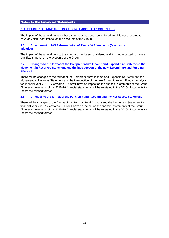## **2. ACCOUNTING STANDARDS ISSUED, NOT ADOPTED (CONTINUED)**

The impact of the amendments to these standards has been considered and it is not expected to have any significant impact on the accounts of the Group.

### **2.6 Amendment to IAS 1** *Presentation of Financial Statements* **(Disclosure Initiative)**

The impact of the amendment to this standard has been considered and it is not expected to have a significant impact on the accounts of the Group.

## **2.7 Changes to the format of the Comprehensive Income and Expenditure Statement, the Movement in Reserves Statement and the introduction of the new Expenditure and Funding Analysis**

There will be changes to the format of the Comprehensive Income and Expenditure Statement, the Movement in Reserves Statement and the introduction of the new Expenditure and Funding Analysis for financial year 2016-17 onwards. This will have an impact on the financial statements of the Group. All relevant elements of the 2015-16 financial statements will be re-stated in the 2016-17 accounts to reflect the revised format.

### **2.8 Changes to the format of the Pension Fund Account and the Net Assets Statement**

There will be changes to the format of the Pension Fund Account and the Net Assets Statement for financial year 2016-17 onwards. This will have an impact on the financial statements of the Group. All relevant elements of the 2015-16 financial statements will be re-stated in the 2016-17 accounts to reflect the revised format.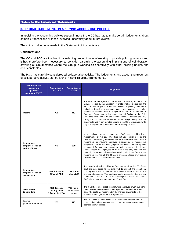## **3. CRITICAL JUDGEMENTS IN APPLYING ACCOUNTING POLICIES**

In applying the accounting policies set out in **note 1**, the CC has had to make certain judgements about complex transactions or those involving uncertainty about future events.

The critical judgements made in the Statement of Accounts are:

### **Collaborations**

The CC and PCC are involved in a widening range of ways of working to provide policing services and it has therefore been necessary to consider carefully the accounting implications of collaboration covering all circumstance where the Group is working co-operatively with other policing bodies and chief constables.

The PCC has carefully considered all collaborative activity. The judgements and accounting treatment of collaborative activity can be found in **note 18** Joint Arrangements.

| <b>Comprehensive</b><br>Income and<br><b>Expenditure</b><br><b>Statement (CIES)</b> | <b>Recognised in</b><br><b>PCC CIES</b>                 | Recognised in<br><b>CC CIES</b>        | <b>Judgement</b>                                                                                                                                                                                                                                                                                                                                                                                                                                                                                                                                                                                                                                                                       |
|-------------------------------------------------------------------------------------|---------------------------------------------------------|----------------------------------------|----------------------------------------------------------------------------------------------------------------------------------------------------------------------------------------------------------------------------------------------------------------------------------------------------------------------------------------------------------------------------------------------------------------------------------------------------------------------------------------------------------------------------------------------------------------------------------------------------------------------------------------------------------------------------------------|
| Income                                                                              | <b>YES</b>                                              | NO.                                    | The Financial Management Code of Practice (FMCP) for the Police<br>Service, issued by the Secretary of State, makes it clear that the<br>PCC is the recipient of funding relating to policing and crime<br>reduction, including government grants and precepts and other<br>sources of income. This is supported in the PCC's Scheme of<br>Corporate Governance which states that 'all funding to the Chief<br>Constable must come via the Commissioner'. Therefore the PCC<br>recognises all income receivable in its single entity financial<br>statements and in turn provides funding to the CC to undertake day-to-<br>day policing and crime reduction services during the year. |
| Expenditure -<br>employee costs of<br>police officers                               | <b>NO</b>                                               | <b>YES</b>                             | In recognising employee costs the PCC has considered the<br>requirements of IAS 19. This does not use control of risks and<br>rewards in determining recognition but rather considers which body is<br>responsible for incurring employee expenditure. In making this<br>judgement however, the underlying substance of who the employment<br>is incurred for has been considered and not just the legal form.<br>Police officers are employees of the Crown and they represent the<br>most significant cost of operational policing which the CC is solely<br>responsible for. The full IAS 19 costs of police officers are therefore<br>reflected in the CC's financial statements   |
| Expenditure -<br>employee costs of<br>civilian staff                                | YES (for staff in<br>Office of PCC)                     | YES (for all<br>other staff)           | The majority of police civilian staff are employed by the CC. These<br>staff are considered to be employed to support the operational<br>policing role of the CC and this expenditure is recorded in the CC's<br>financial statements. The employee costs reported in the financial<br>statements of the PCC relate to staff employed in the Office of the<br>PCC who support the strategic role of the PCC.                                                                                                                                                                                                                                                                           |
| <b>Other Direct</b><br><b>Expenditure</b>                                           | YES (for costs<br>relating to the<br>Office of the PCC) | YES (for all<br>other direct<br>costs) | The majority of other direct expenditure is employee driven (e.g. rent,<br>rates, building maintenance, power, light, heat, telephones, transport<br>etc). The costs are recognised in the financial statements of the<br>entity which recognises the employee's costs.                                                                                                                                                                                                                                                                                                                                                                                                                |
| Interest<br>payable/receivable                                                      | <b>YES</b>                                              | NO.                                    | The PCC holds all cash balances, loans and investments. The CC<br>does not hold a bank account and no cash transactions take place<br>between the two bodies.                                                                                                                                                                                                                                                                                                                                                                                                                                                                                                                          |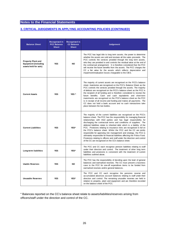## **3. CRITICAL JUDGEMENTS IN APPLYING ACCOUNTING POLICIES (CONTINUED)**

| <b>Balance Sheet</b>                                                              | Recognised in<br><b>PCC Balance</b><br><b>Sheet</b> | Recognised in<br><b>CC Balance</b><br><b>Sheet</b> | <b>Judgement</b>                                                                                                                                                                                                                                                                                                                                                                                                                                                                                                                                                                                                                                                                                                                                                                                        |
|-----------------------------------------------------------------------------------|-----------------------------------------------------|----------------------------------------------------|---------------------------------------------------------------------------------------------------------------------------------------------------------------------------------------------------------------------------------------------------------------------------------------------------------------------------------------------------------------------------------------------------------------------------------------------------------------------------------------------------------------------------------------------------------------------------------------------------------------------------------------------------------------------------------------------------------------------------------------------------------------------------------------------------------|
| <b>Property Plant and</b><br><b>Equipment (including</b><br>assets held for sale) | <b>YES</b>                                          | <b>NO</b>                                          | The PCC has legal title to long term assets, the power to determine<br>whether the assets are sold and receives all the sales proceeds. The<br>PCC controls the services provided through the long term assets,<br>who they are provided to and controls the residual value at the end of<br>the contractual arrangement. It is therefore considered that the PCC<br>will receive the future benefits from the assets. The PCC charges the<br>CC a fair value for the assets which reflects depreciation and<br>impairment/revaluation losses chargeable to the CIES.                                                                                                                                                                                                                                   |
| <b>Current Assets</b>                                                             | <b>YES</b>                                          | YES <sup>*</sup>                                   | The majority of current assets are recognised on the PCC's balance<br>sheet. Inventories are recognised on the PCC's Balance Sheet as the<br>PCC controls the services provided through the assets. The majority<br>of debtors are recognised on the PCC's balance sheet as the PCC is<br>the recipient of all funding and is therefore considered to receive the<br>future benefits. Cash and cash equivalents and short-term<br>investments are recognised on the PCC's balance sheet as the PCC<br>is in receipt of all income and funding and makes all payments. The<br>CC does not hold a bank account and no cash transactions take<br>place between the two bodies.                                                                                                                             |
| <b>Current Liabilities</b>                                                        | <b>YES</b>                                          | YES*                                               | The majority of the current liabilities are recognised on the PCC's<br>balance sheet. The PCC has the responsibility for managing financial<br>relationships with third parties and has legal responsibility for<br>discharging the contractual terms and conditions of suppliers. The<br>deferred liabilities relate to inherited debt which is a liability of the<br>PCC. Provisions relating to insurance risks are recognised in full on<br>the PCC's balance sheet. Whilst the PCC and the CC are jointly<br>responsible for approving risk management and strategy, the PCC is<br>ultimately responsible for financial liabilities affecting the Police Fund.<br>Provisions relating to officers and staff under the direction and control<br>of the CC are recognised on the CC's balance sheet. |
| Long-term liabilities                                                             | <b>YES</b>                                          | YES*                                               | The PCC and CC each recognise pension liabilities relating to staff<br>under their direction and control. The treatment of other long term<br>liabilities and provisions is consistent with the treatment of current<br>liabilities outlined above.                                                                                                                                                                                                                                                                                                                                                                                                                                                                                                                                                     |
| <b>Usable Reserves</b>                                                            | <b>YES</b>                                          | <b>NO</b>                                          | The PCC has the responsibility of deciding upon the level of general<br>balances and earmarked reserves. The CC must present a business<br>case to the PCC for one-off expenditure items to be funded from<br>earmarked reserves and/or general balances.                                                                                                                                                                                                                                                                                                                                                                                                                                                                                                                                               |
| Unusable Reserves                                                                 | <b>YES</b>                                          | YES*                                               | The PCC and CC each recognise the pensions reserve and<br>accumulated absences account balances relating to staff under their<br>direction and control. The remaining unusable reserves are held in<br>relation to property, plant and equipment and are therefore recorded<br>on the balance sheet of the PCC.                                                                                                                                                                                                                                                                                                                                                                                                                                                                                         |

\* Balances reported on the CC's balance sheet relate to assets/liabilities/reserves arising from officers/staff under the direction and control of the CC.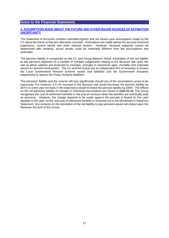### **4. ASSUMPTIONS MADE ABOUT THE FUTURE AND OTHER MAJOR SOURCES OF ESTIMATION UNCERTAINTY**

The Statement of Accounts contains estimated figures that are based upon assumptions made by the CC about the future or that are otherwise uncertain. Estimations are made taking into account historical experience, current trends and other relevant factors. However, because balances cannot be determined with certainty, actual results could be materially different from the assumptions and estimates.

The pension liability is recognised on the CC and Group Balance Sheet. Estimation of the net liability to pay pensions depends on a number of complex judgements relating to the discount rate used, the rate at which salaries are projected to increase, changes in retirement ages, mortality and expected returns on pension fund assets. The CC and the Group use an independent firm of actuaries to assess the Local Government Pension Scheme assets and liabilities and the Government Actuaries Department to assess the Police Scheme liabilities.

The pensions' liability and the reserve will vary significantly should any of the assumptions prove to be inaccurate. For instance, a 0.1% increase in the discount rate would decrease the pension liability by £87m or a one year increase in life expectancy would increase the pension liability by £94m. The effects on the net pensions liability of changes in individual assumptions are shown in **note 21.11.** The Group recognises the cost of retirement benefits in the cost of services when the benefits are eventually paid as pensions. However, the charge required to be made against the precept is based on the cash payable in the year, so the real cost of retirement benefits is reversed out in the Movement in Reserves Statement. Any revisions to the estimation of the net liability to pay pensions would not impact upon the Revenue Account of the Group.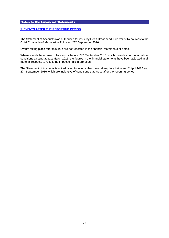## **5. EVENTS AFTER THE REPORTING PERIOD**

The Statement of Accounts was authorised for issue by Geoff Broadhead, Director of Resources to the Chief Constable of Merseyside Police on 27th September 2016.

Events taking place after this date are not reflected in the financial statements or notes.

Where events have taken place on or before 27<sup>th</sup> September 2016 which provide information about conditions existing at 31st March 2016, the figures in the financial statements have been adjusted in all material respects to reflect the impact of this information.

The Statement of Accounts is not adjusted for events that have taken place between 1<sup>st</sup> April 2016 and 27<sup>th</sup> September 2016 which are indicative of conditions that arose after the reporting period.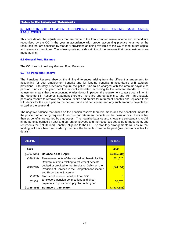## **6. ADJUSTMENTS BETWEEN ACCOUNTING BASIS AND FUNDING BASIS UNDER REGULATIONS**

This note details the adjustments that are made to the total comprehensive income and expenditure recognised by the CC in the year in accordance with proper accounting practice to arrive at the resources that are specified by statutory provisions as being available to the CC to meet future capital and revenue expenditure. The following sets out a description of the reserves that the adjustments are made against.

### **6.1 General Fund Balance**

The CC does not hold any General Fund Balances.

### **6.2 The Pensions Reserve**

The Pensions Reserve absorbs the timing differences arising from the different arrangements for accounting for post employment benefits and for funding benefits in accordance with statutory provisions. Statutory provisions require the police fund to be charged with the amount payable to pension funds in the year, not the amount calculated according to the relevant standards. This adjustment means that the accounting entries do not impact on the requirement to raise council tax. In the Movement in Reserves Statement therefore there are appropriations to and from an unusable pensions reserve to remove the notional debits and credits for retirement benefits and replaces them with debits for the cash paid to the pension fund and pensioners and any such amounts payable but unpaid at the year-end.

The negative balance that arises on the pension reserve therefore measures the beneficial impact to the police fund of being required to account for retirement benefits on the basis of cash flows rather than as benefits are earned by employees. The negative balance also shows the substantial shortfall in the benefits earned by past and current employees and the resources set aside to meet them, and represents the Net Defined Benefit Obligation to the CC. The statutory arrangements will ensure that funding will have been set aside by the time the benefits come to be paid (see pensions notes for details).

| 2014/15     |                                                                                                                                                                                             | 2015/16          |
|-------------|---------------------------------------------------------------------------------------------------------------------------------------------------------------------------------------------|------------------|
| £000        |                                                                                                                                                                                             | £000             |
| (3,797,611) | <b>Balance as at 1 April</b>                                                                                                                                                                | (4,385,334)      |
| (396, 348)  | Remeasurements of the net defined benefit liability                                                                                                                                         | 621,025          |
| (248, 210)  | Reversal of items relating to retirement benefits<br>debited or credited to the Surplus or Deficit on the<br>Provision of Services in the Comprehensive income<br>and Expenditure Statement | <u>(224,051)</u> |
| (1,069)     | Transfer of pension liabilities from PCC                                                                                                                                                    |                  |
| 57,904      | Employer's pension contributions and direct<br>payments to pensioners payable in the year                                                                                                   | 70,675           |
| (4,385,334) | <b>Balance at 31st March</b>                                                                                                                                                                | (3,917,685)      |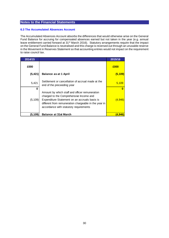### **6.3 The Accumulated Absences Account**

The Accumulated Absences Account absorbs the differences that would otherwise arise on the General Fund Balance for accruing for compensated absences earned but not taken in the year (e.g. annual leave entitlement carried forward at 31st March 2016). Statutory arrangements require that the impact on the General Fund Balance is neutralised and this charge is reversed out through an unusable reserve in the Movement in Reserves Statement so that accounting entries would not impact on the requirement to raise council tax.

| 2014/15  |                                                                                                                                                                                                                                               | 2015/16        |
|----------|-----------------------------------------------------------------------------------------------------------------------------------------------------------------------------------------------------------------------------------------------|----------------|
| £000     |                                                                                                                                                                                                                                               | £000           |
| (5, 421) | <b>Balance as at 1 April</b>                                                                                                                                                                                                                  | (5, 109)       |
| 5,421    | Settlement or cancellation of accrual made at the<br>end of the preceeding year                                                                                                                                                               | 5,109          |
| 0        |                                                                                                                                                                                                                                               |                |
| (5, 109) | Amount by which staff and officer remuneration<br>charged to the Comprehensive Income and<br>Expenditure Statement on an accruals basis is<br>different from remuneration chargeable in the year in<br>accordance with statutory requirements | <u>(4,946)</u> |
| (5,109)  | <b>Balance at 31st March</b>                                                                                                                                                                                                                  | 4.946          |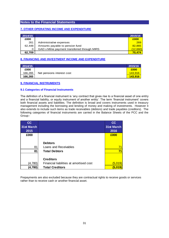## **7. OTHER OPERATING INCOME AND EXPENDITURE**

| 2014/15 |                                              | 2015/16  |
|---------|----------------------------------------------|----------|
| £000    |                                              | £000     |
| 261     | Administrative expenses                      | 269      |
| 62,448  | Amounts payable to pension fund              | 82,865   |
| 0       | GAD v Milne payment transferred through MIRS | (12,660) |
| 62,709  |                                              | 70.474   |

## **8. FINANCING AND INVESTMENT INCOME AND EXPENDITURE**

| 2014/15 |                            | 2015/16        |
|---------|----------------------------|----------------|
| £000    |                            | £000           |
| 166,265 | Net pensions interest cost | <u>143.916</u> |
| 166,265 |                            | <u>143.916</u> |

## **9. FINANCIAL INSTRUMENTS**

### **9.1 Categories of Financial Instruments**

The definition of a financial instrument is 'any contract that gives rise to a financial asset of one entity and a financial liability, or equity instrument of another entity'. The term 'financial instrument' covers both financial assets and liabilities. The definition is broad and covers instruments used in treasury management including the borrowing and lending of money and making of investments. However it also extends to include such items as trade receivables (debtors) and trade payables (creditors). The following categories of financial instruments are carried in the Balance Sheets of the PCC and the Group:-

| cc         |                                         | cc             |
|------------|-----------------------------------------|----------------|
| 31st March |                                         | 31st March     |
| 2015       |                                         | 2016           |
| £000       |                                         | £000           |
|            |                                         |                |
|            | <b>Debtors</b>                          |                |
| 81         | Loans and Receivables                   | 71             |
| 81         | <b>Total Debtors</b>                    | 71             |
|            |                                         |                |
|            | <b>Creditors</b>                        |                |
| (4,780)    | Financial liabilities at amortised cost | (5,019)        |
| (4,780)    | <b>Total Creditors</b>                  | <u>(5,019)</u> |

Prepayments are also excluded because they are contractual rights to receive goods or services rather than to receive cash or another financial asset.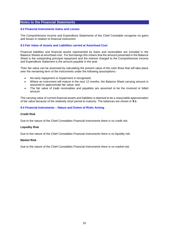#### **9.2 Financial Instruments Gains and Losses**

The Comprehensive Income and Expenditure Statements of the Chief Constable recognise no gains and losses in relation to financial instrument.

### **9.3 Fair Value of Assets and Liabilities carried at Amortised Cost**

Financial liabilities and financial assets represented by loans and receivables are included in the Balance Sheets at amortised cost. For borrowings this means that the amount presented in the Balance Sheet is the outstanding principal repayment and the interest charged to the Comprehensive Income and Expenditure Statement is the amount payable in the year.

Their fair value can be assessed by calculating the present value of the cash flows that will take place over the remaining term of the instruments under the following assumptions:-

- No early repayment or impairment is recognised;
- Where an instrument will mature in the next 12 months, the Balance Sheet carrying amount is assumed to approximate fair value; and
- The fair value of trade receivables and payables are assumed to be the invoiced or billed amount.

The carrying value of current financial assets and liabilities is deemed to be a reasonable approximation of fair value because of the relatively short period to maturity. The balances are shown in **9.1**.

### **9.4 Financial Instruments – Nature and Extent of Risks Arising**

#### **Credit Risk**

Due to the nature of the Chief Constables Financial Instruments there is no credit risk.

#### **Liquidity Risk**

Due to the nature of the Chief Constables Financial Instruments there is no liquidity risk.

#### **Market Risk**

Due to the nature of the Chief Constables Financial Instruments there is no market risk.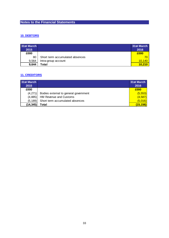## **10. DEBTORS**

| 31st March<br>2015 |                                 | 31st March<br>2016 |
|--------------------|---------------------------------|--------------------|
| £000               |                                 | £000               |
| 80                 | Short term accumulated absences | 70                 |
| 9,564              | Intra-group account             | 10.140             |
| 9,644              | Total                           | 10,210             |

## **11. CREDITORS**

| 31st March |                                       | 31st March |
|------------|---------------------------------------|------------|
| 2015       |                                       | 2016       |
| £000       |                                       | £000       |
| (4,271)    | Bodies external to general government | (5, 553)   |
| (4,885)    | HM Revenue and Customs                | (4, 587)   |
| (5, 189)   | Short term accumulated absences       | (5,016)    |
| (14, 345)  | Total                                 | (15, 156)  |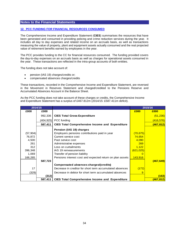## **12. PCC FUNDING FOR FINANCIAL RESOURCES CONSUMED**

The Comprehensive Income and Expenditure Statement (**CIES**) summarises the resources that have been generated and consumed in providing policing and crime reduction services during the year. It includes all day to day expenses and related income on an accruals basis, as well as transactions measuring the value of property, plant and equipment assets actually consumed and the real projected value of retirement benefits earned by employees in the year.

The PCC provides funding to the CC for financial resources consumed. The funding provided covers the day-to-day expenses on an accruals basis as well as charges for operational assets consumed in the year. These transactions are reflected in the intra-group accounts of both entities.

The funding does not take account of:

- pension (IAS 19) charges/credits or;
- compensated absences charges/credits

These transactions, recorded in the Comprehensive Income and Expenditure Statement, are reversed in the Movement in Reserves Statement and charged/credited to the Pensions Reserve and Accumulated Absences Account in the Balance Sheet.

As the PCC funding does not take account of these charges or credits, the Comprehensive Income and Expenditure Statement has a surplus of £467.812m (2014/15: £587.411m deficit).

| 2014/15   |         |                                                           | 2015/16    |                  |
|-----------|---------|-----------------------------------------------------------|------------|------------------|
| £000      | £000    |                                                           | £000       | £000             |
|           | 992,336 | <b>CIES Total Gross Expenditure</b>                       |            | (51, 236)        |
|           |         | $(404, 925)$ PCC funding                                  |            | (416, 576)       |
|           | 587,411 | <b>CIES Total Comprehensive Income and Expenditure</b>    |            | (467, 812)       |
|           |         | Pension (IAS 19) charges                                  |            |                  |
| (57, 904) |         | Employers pensions contributions paid in year             | (70, 675)  |                  |
| 76,872    |         | Current service cost                                      | 74,654     |                  |
| 4,500     |         | Past service cost                                         | 4,090      |                  |
| 261       |         | Administrative expenses                                   | 269        |                  |
| 312       |         | Loss on curtailments                                      | 1,122      |                  |
| 396,348   |         | IAS 19 remeasurements                                     | (621, 025) |                  |
| 1,069     |         | Transfer of pension liability                             |            |                  |
| 166,265   |         | Pensions interest cost and expected return on plan assets | 143,916    |                  |
|           | 587,723 |                                                           |            | (467, 649)       |
|           |         | Compensated absences charges/(credits)                    |            |                  |
| 17        |         | Decrease in creditor for short term accumulated absences  | (172)      |                  |
| (329)     |         | Decrease in debtor for short term accumulated absences    | 9          |                  |
|           | (312)   |                                                           |            | (163)            |
|           | 587,411 | <b>CIES Total Comprehensive Income and Expenditure</b>    |            | <u>(467,812)</u> |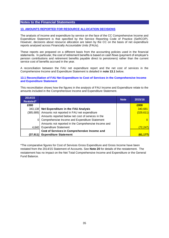## **13. AMOUNTS REPORTED FOR RESOURCE ALLOCATION DECISIONS**

The analysis of income and expenditure by service on the face of the CC Comprehensive Income and Expenditure Statement is that specified by the Service Reporting Code of Practice (SeRCOP). However, decisions about resource allocation are taken by the CC on the basis of net expenditure reports analysed across Financially Accountable Units (FAUs).

These reports are prepared on a different basis from the accounting policies used in the financial statements. In particular, the cost of retirement benefits is based on cash flows (payment of employer's pension contributions and retirement benefits payable direct to pensioners) rather than the current service cost of benefits accrued in the year.

A reconciliation between the FAU net expenditure report and the net cost of services in the Comprehensive Income and Expenditure Statement is detailed in **note 13.1** below.

### **13.1 Reconciliation of FAU Net Expenditure to Cost of Services in the Comprehensive Income and Expenditure Statement**

This reconciliation shows how the figures in the analysis of FAU Income and Expenditure relate to the amounts included in the Comprehensive Income and Expenditure Statement.

| 2014/15        |                                                       | <b>Note</b> | 2015/16        |
|----------------|-------------------------------------------------------|-------------|----------------|
| Restated*      |                                                       |             |                |
| £000           |                                                       |             | £000           |
|                | 343,138 Net Expenditure in the FAU Analysis           |             | 340,681        |
|                | (385,689) Amounts not reported in FAU net expenditure |             | (329, 611)     |
|                | Amounts reported below net cost of services in the    |             |                |
| $\overline{0}$ | Comprehensive Income and Expenditure Statement        |             |                |
|                | Amounts not reported in the Comprehensive Income and  |             |                |
|                | 4,640 Expenditure Statement                           |             | <u>(72,247</u> |
|                | Cost of Services in Comprehensive Income and          |             |                |
|                | (37,911) Expenditure Statement                        |             | 61,177)        |

\*The comparative figures for Cost of Services Gross Expenditure and Gross Income have been restated from the 2014/15 Statement of Accounts. See **Note 20** for details of the restatement. The restatement has no impact on the Net Total Comprehensive Income and Expenditure or the General Fund Balance.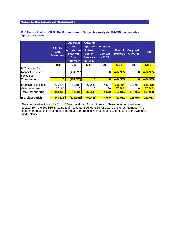### **13.2 Reconciliation of FAU Net Expenditure to Subjective Analysis 2014/15 (comparative figures restated\*)**

|                                  | <b>FAU Net</b><br>Exp.<br>Statement | <b>Amounts</b><br>not<br>reported in<br><b>FAU Net</b><br>Exp.<br><b>Statement</b> | <b>Amounts</b><br>reported<br>below<br>Cost of<br><b>Services</b><br>in CIES | <b>Amounts</b><br>not<br>reported<br>in CIES | Cost of<br><b>Services</b> | Corporate<br><b>Amounts</b> | Total      |
|----------------------------------|-------------------------------------|------------------------------------------------------------------------------------|------------------------------------------------------------------------------|----------------------------------------------|----------------------------|-----------------------------|------------|
|                                  | £000                                | £000                                                                               | £000                                                                         | £000                                         | £000                       | £000                        | £000       |
| PCC funding for                  |                                     |                                                                                    |                                                                              |                                              |                            |                             |            |
| financial resources<br> consumed | 0                                   | (404, 925)                                                                         | 0                                                                            | 0                                            | (404, 925)                 | 0                           | (404, 925) |
| <b>Total Income</b>              | $\mathbf{0}$                        | (404,925)                                                                          | $\overline{\mathbf{0}}$                                                      | $\bf{0}$                                     | (404, 925)                 | $\mathbf{0}$                | (404, 925) |
|                                  |                                     |                                                                                    |                                                                              |                                              |                            |                             |            |
| Employee expenses                | 275,674                             | 81,684                                                                             | (62, 448)                                                                    | 4,544                                        | 299,454                    | 228,974                     | 528,428    |
| Other expenses                   | 67,464                              |                                                                                    |                                                                              | 96                                           | 67,560                     | O                           | 67,560     |
| <b>Total Expenditure</b>         | 343,138                             | 81,684                                                                             | (62, 448)                                                                    | 4,640                                        | 367,014                    | 228,974                     | 595,988    |
|                                  |                                     |                                                                                    |                                                                              |                                              |                            |                             |            |
| (Surplus)/Deficit                | 343,138                             | (323, 241)                                                                         | (62, 448)                                                                    | 4,640                                        | (37, 911)                  | 228,974                     | 191,063    |

\*The comparative figures for Cost of Services Gross Expenditure and Gross Income have been restated from the 2014/15 Statement of Accounts. See **Note 20** for details of the restatement. The restatement has no impact on the Net Total Comprehensive Income and Expenditure or the General Fund Balance.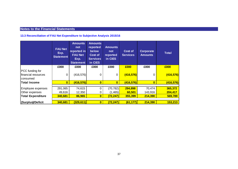# **13.3 Reconciliation of FAU Net Expenditure to Subjective Analysis 2015/16**

|                                                           | <b>FAU Net</b><br>Exp.<br><b>Statement</b> | <b>Amounts</b><br>not<br>reported in<br><b>FAU Net</b><br>Exp.<br><b>Statement</b> | <b>Amounts</b><br>reported<br>below<br>Cost of<br><b>Services</b><br>in CIES | <b>Amounts</b><br>not<br>reported<br>in CIES | Cost of<br><b>Services</b> | Corporate<br><b>Amounts</b> | <b>Total</b>       |
|-----------------------------------------------------------|--------------------------------------------|------------------------------------------------------------------------------------|------------------------------------------------------------------------------|----------------------------------------------|----------------------------|-----------------------------|--------------------|
|                                                           | £000                                       | £000                                                                               | £000                                                                         | £000                                         | £000                       | £000                        | £000               |
| <b>PCC</b> funding for<br>financial resources<br>consumed | 0                                          | (416, 576)                                                                         | 0                                                                            | 0                                            | (416, 576)                 | 0                           | (416, 576)         |
| <b>Total Income</b>                                       | $\bf{0}$                                   | (416, 576)                                                                         | $\bullet$                                                                    | $\mathbf{0}$                                 | (416, 576)                 | $\bf{0}$                    | (416, 576)         |
| Employee expenses<br>Other expenses                       | 291,065<br>49,616                          | 74,615<br>12,350                                                                   | 0<br>0                                                                       | (70, 782)<br>(1, 465)                        | 294,898<br>60,501          | 70,474<br>143,916           | 365,372<br>204,417 |
| <b>Total Expenditure</b>                                  | 340,681                                    | 86,965                                                                             | $\overline{\mathbf{0}}$                                                      | (72, 247)                                    | 355,399                    | 214,390                     | 569,789            |
| (Surplus)/Deficit                                         | 340,681                                    | (329, 611)                                                                         | $\mathbf{0}$                                                                 | (72, 247)                                    | (61, 177)                  | 214,390                     | 153,213            |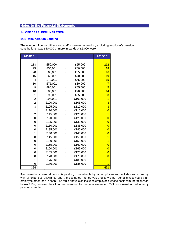# **14. OFFICERS' REMUNERATION**

### **14.1 Remuneration Banding**

The number of police officers and staff whose remuneration, excluding employer's pension contributions, was £50,000 or more in bands of £5,000 were:

| 2014/15        |          |          | 2015/16        |
|----------------|----------|----------|----------------|
|                |          |          |                |
| 218            | £50,000  | £55,000  | 212            |
| 95             | £55,001  | £60,000  | 118            |
| 20             | £60,001  | £65,000  | 16             |
| 15             | £65,001  | £70,000  | 19             |
| $\overline{4}$ | £70,001  | £75,000  | 15             |
| 10             | £75,001  | £80,000  | $\overline{7}$ |
| 9              | £80,001  | £85,000  | 5              |
| 10             | £85,001  | £90,000  | 14             |
| 1              | £90,001  | £95,000  | 3              |
| $\overline{2}$ | £95,001  | £100,000 | $\overline{1}$ |
| $\overline{2}$ | £100,001 | £105,000 | 3              |
| 3              | £105,001 | £110,000 | 3              |
| 1              | £110,001 | £115,000 | $\overline{0}$ |
| $\overline{2}$ | £115,001 | £120,000 | $\overline{1}$ |
| 0              | £120,001 | £125,000 | $\overline{0}$ |
| 0              | £125,001 | £130,000 | $\overline{0}$ |
| 0              | £130,001 | £135,000 | $\overline{0}$ |
| 0              | £135,001 | £140,000 | $\overline{0}$ |
| 1              | £140,001 | £145,000 | $\overline{0}$ |
| 0              | £145,001 | £150,000 | $\overline{1}$ |
| 0              | £150,001 | £155,000 | 1              |
| 0              | £155,001 | £160,000 | $\overline{0}$ |
| 0              | £160,001 | £165,000 | $\overline{0}$ |
| 0              | £165,001 | £170,000 | $\overline{0}$ |
| 0              | £170,001 | £175,000 | $\overline{0}$ |
| 1              | £175,001 | £180,000 | 1              |
| 0              | £180,001 | £185,000 |                |
| 394            |          |          | 421            |

Remuneration covers all amounts paid to, or receivable by, an employee and includes sums due by way of expenses allowance and the estimated money value of any other benefits received by an employee other than in cash. The table above also includes employees whose basic remuneration was below £50k; however their total remuneration for the year exceeded £50k as a result of redundancy payments made.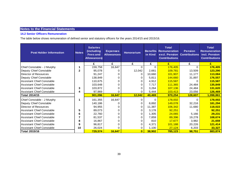# **14.2 Senior Officers Remuneration**

The table below shows remuneration of defined senior and statutory officers for the years 2014/15 and 2015/16.

| <b>Post Holder Information</b>   | <b>Notes</b> | <b>Salaries</b><br>(including<br><b>Fees and</b><br><b>Allowances</b> ) | <b>Expenses</b><br><b>Allowances</b> | <b>Honorarium</b> | <b>Benefits</b><br>in Kind | <b>Total</b><br><b>Remuneration</b><br>excl. Pension<br><b>Contributions</b> | <b>Pension</b><br><b>Contributions</b> | <b>Total</b><br><b>Remuneration</b><br>incl. Pension<br><b>Contributions</b> |
|----------------------------------|--------------|-------------------------------------------------------------------------|--------------------------------------|-------------------|----------------------------|------------------------------------------------------------------------------|----------------------------------------|------------------------------------------------------------------------------|
|                                  |              | £                                                                       | £                                    | £                 | £                          | E                                                                            | £                                      | E                                                                            |
| Chief Constable - J Murphy       | 1            | 159,758                                                                 | 16,647                               | 0                 | $\Omega$                   | 176,405                                                                      | $\Omega$                               | 176,405                                                                      |
| Deputy Chief Constable           | 2            | 95,078                                                                  |                                      | 12,042            | 2,661                      | 109,781                                                                      | 13,509                                 | 123,290                                                                      |
| Director of Resources            |              | 91,247                                                                  |                                      | 0                 | 10,660                     | 101,907                                                                      | 11,177                                 | 113,084                                                                      |
| Deputy Chief Constable           |              | 138,849                                                                 | 0                                    | 0                 | 5,811                      | 144,660                                                                      | 31,897                                 | 176,557                                                                      |
| <b>Assistant Chief Constable</b> |              | 110,675                                                                 |                                      | 0                 | 4,912                      | 115,587                                                                      |                                        | 115,587                                                                      |
| <b>Assistant Chief Constable</b> |              | 103,648                                                                 |                                      | 0                 | 7,717                      | 111,365                                                                      | 24,484                                 | 135,849                                                                      |
| <b>Assistant Chief Constable</b> | 3            | 103,872                                                                 |                                      |                   | 3,264                      | 107,136                                                                      | 24,484                                 | 131,620                                                                      |
| <b>Assistant Chief Constable</b> | 4            | 97,969                                                                  | 0                                    | 0                 | 5,444                      | 103,413                                                                      | 23,056                                 | 126,469                                                                      |
| <b>Total 2014/15</b>             |              | 901,096                                                                 | 16,647                               | 12,042            | 40,469                     | 970,254                                                                      | 128,607                                | 1,098,861                                                                    |
| Chief Constable - J Murphy       | 1            | 161,355                                                                 | 16,647                               | 0                 | $\Omega$                   | 178,002                                                                      | $\Omega$                               | 178,002                                                                      |
| Deputy Chief Constable           |              | 140,186                                                                 |                                      |                   | 8,892                      | 149,078                                                                      | 32,216                                 | 181,294                                                                      |
| Director of Resources            |              | 94,955                                                                  |                                      | 0                 | 11,387                     | 106,342                                                                      | 11,680                                 | 118,022                                                                      |
| <b>Assistant Chief Constable</b> | 5            | 89,073                                                                  |                                      | 0                 | 3,178                      | 92,251                                                                       |                                        | 92,251                                                                       |
| Assistant Chief Constable        | 6            | 22,760                                                                  | 0                                    | 0                 | 1,305                      | 24,065                                                                       | 5,166                                  | 29,231                                                                       |
| <b>Assistant Chief Constable</b> | 7            | 81,537                                                                  | 0                                    | 0                 | 7,859                      | 89,396                                                                       | 19,278                                 | 108,674                                                                      |
| <b>Assistant Chief Constable</b> | 8            | 16,867                                                                  | 0                                    | 0                 | 810                        | 17,677                                                                       | 3,982                                  | 21,659                                                                       |
| <b>Assistant Chief Constable</b> | 9            | 96,817                                                                  | 0                                    | 0                 | 4,371                      | 101,188                                                                      | 20,226                                 | 121,414                                                                      |
| <b>Assistant Chief Constable</b> | 10           | 26,024                                                                  | 0                                    | 0                 | 1,100                      | 27,124                                                                       | 6,203                                  | 33,327                                                                       |
| <b>Total 2015/16</b>             |              | 729,574                                                                 | 16,647                               | $\bf{0}$          | 38,902                     | 785,123                                                                      | 98,751                                 | 883,874                                                                      |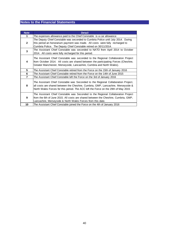| <b>Note</b>    | <b>Detail</b>                                                                                                                                                                                                                                                |
|----------------|--------------------------------------------------------------------------------------------------------------------------------------------------------------------------------------------------------------------------------------------------------------|
| 1              | The expenses allowance paid to the Chief Constable is a car allowance                                                                                                                                                                                        |
| $\mathbf{2}$   | The Deputy Chief Constable was seconded to Cumbria Police until July 2014. During<br>this period an honorarium payment was made. All costs were fully recharged to<br>Cumbria Police. The Deputy Chief Constable retired on 30/11/2014.                      |
| 3              | The Assistant Chief Constable was seconded to NATO from April 2014 to October<br>2014. All costs were fully recharged for this period.                                                                                                                       |
| 4              | The Assistant Chief Constable was seconded to the Regional Collaboration Project<br>from October 2014. All costs are shared between the participating Forces (Cheshire,<br>Greater Manchester, Merseyside, Lancashire, Cumbria and North Wales).             |
| 5              | The Assistant Chief Constable retired from the Force on the 15th of January 2016                                                                                                                                                                             |
| 6              | The Assistant Chief Constable retired from the Force on the 14th of June 2015                                                                                                                                                                                |
| $\overline{7}$ | The Assistant Chief Constable left the Force on the 3rd of January 2016                                                                                                                                                                                      |
| 8              | The Assistant Chief Constable was Seconded to the Regional Collaboration Project,<br>all costs are shared between the Cheshire, Cumbria, GMP, Lancashire, Merseyside &<br>North Wales Forces for this period. The ACC left the Force on the 29th of May 2015 |
| 9              | The Assistant Chief Constable was Seconded to the Regional Collaboration Project<br>from the 6th of June 2015. All costs are shared between the Cheshire, Cumbria, GMP,<br>Lancashire, Merseyside & North Wales Forces from this date.                       |
| 10             | The Assistant Chief Constable joined the Force on the 4th of January 2016                                                                                                                                                                                    |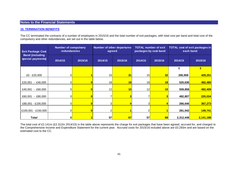### **15. TERMINATION BENEFITS**

The CC terminated the contracts of a number of employees in 2015/16 and the total number of exit packages, with total cost per band and total cost of the compulsory and other redundancies, are set out in the table below.

| <b>Exit Package Cost</b>                    | <b>Number of compulsory</b><br>redundancies |  | agreed             | Number of other departures | <b>TOTAL number of exit</b><br>packages by cost band |    | <b>TOTAL cost of exit packages in</b><br>each band |           |
|---------------------------------------------|---------------------------------------------|--|--------------------|----------------------------|------------------------------------------------------|----|----------------------------------------------------|-----------|
| <b>Band (including</b><br>special payments) | 2015/16<br>2014/15                          |  | 2014/15<br>2015/16 |                            | 2014/15<br>2015/16                                   |    | 2014/15                                            | 2015/16   |
|                                             |                                             |  |                    |                            |                                                      |    | £                                                  | £         |
| £0 - £20,000                                | ΟI                                          |  | 15                 | 31                         | 15 <sub>1</sub>                                      | 32 | 200,959                                            | 429,251   |
| $-$ £40,000<br>£20,001                      | $\Omega$                                    |  | 18                 | 18                         | 18 <sub>1</sub>                                      | 18 | 520,636                                            | 482,480   |
| $- E60,000$<br>£40,001                      | 01                                          |  | 12                 | 10                         | 12                                                   | 10 | 559,858                                            | 492,409   |
| £80,000<br>£60,001<br>$\sim$                | ΩI                                          |  |                    |                            |                                                      |    | 482,807                                            | 220,034   |
| £80,001 - £100,000                          | 0l                                          |  | ЗI                 |                            | 3                                                    |    | 266,646                                            | 367,273   |
| £100,001 - £150,000                         | 01                                          |  |                    |                            | 2                                                    |    | 281,542                                            | 149,741   |
| Total                                       | 0l                                          |  | 57                 | 67                         | 57                                                   | 68 | 2,312,448                                          | 2,141,188 |

The total cost of £2.141m (£2.312m 2014/15) in the table above represents the charge for exit packages that have been agreed, accrued for, and charged to the Comprehensive Income and Expenditure Statement for the current year. Accrued costs for 2015/16 included above are £0.283m and are based on the estimated cost to the CC.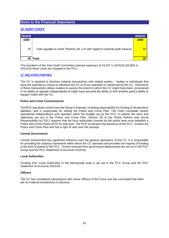# **16. AUDIT COSTS**

| 2014/15 |                                                                              | 2015/16 |
|---------|------------------------------------------------------------------------------|---------|
| £000    |                                                                              | £000    |
| 25      | Fees payable to Grant Thornton UK LLP with regard to external audit services | 19      |
|         | 25   Total                                                                   |         |

The members of the Joint Audit Committee claimed expenses of £4,437 in 2015/16 (£5,805 in 2014/15) these costs are charged to the PCC.

# **17. RELATED PARTIES**

The CC is required to disclose material transactions with related parties – bodies or individuals that have the potential to control or influence the CC or to be controlled or influenced by the CC. Disclosure of these transactions allows readers to assess the extent to which the CC might have been constrained in his ability to operate independently or might have secured the ability to limit another party's ability to bargain freely with the CC.

### **Police and Crime Commissioner**

The PCC has direct control over the Group's finances, including responsibility for funding of all pensions' liabilities, and is responsible for setting the Police and Crime Plan. The Chief Constable retains operational independence and operates within the budget set by the PCC, to deliver the aims and objectives set out in the Police and Crime Plan. Section 28 of the Police Reform and Social Responsibility Act 2011 requires that the local authorities covered by the police area must establish a Police and Crime Panel (PCP) for that area. The PCP scrutinises the decisions of the PCC, reviews the Police and Crime Plan and has a right of veto over the precept.

### **Central Government**

Central Government has significant influence over the general operations of the CC. It is responsible for providing the statutory framework within which the CC operates and provides the majority of funding in the form of grants to the PCC. Grants received from government departments are set out in the PCC Group and the PCC Statement of Accounts 2015/16.

### **Local Authorities**

Funding from Local Authorities in the Merseyside area is set out in the PCC Group and the PCC Statement of Accounts 2015/16.

### **Officers**

The CC has considered transactions with senior officers of the Force and has concluded that there are no material transactions to disclose.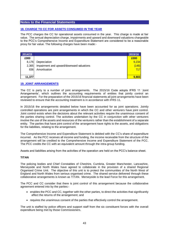# **18. CHARGE TO CC FOR ASSETS CONSUMED IN THE YEAR**

The PCC charges the CC for operational assets consumed in the year. This charge is made at fair value. The annual depreciation charge, impairments and upward and downward valuations chargeable to the PCC's Comprehensive Income and Expenditure Statement are considered to be a reasonable proxy for fair value. The following charges have been made:-

| 2014/15 |                                           | 2015/16    |
|---------|-------------------------------------------|------------|
| £000    |                                           | £000       |
| 8,176   | Depreciation                              | 9,234      |
| 2,365   | Impairment and upward/downward valuations | (148)      |
| 836     | Amortisation                              | <b>717</b> |
|         |                                           |            |
| 11,377  |                                           | 9,803      |

## **19. JOINT ARRANGEMENTS**

The CC is party to a number of joint arrangements. The 2015/16 Code adopts IFRS 11 'Joint Arrangements', which outlines the accounting requirements of entities that jointly control an arrangement. For the preparation of the 2015/16 financial statements all joint arrangements have been reviewed to ensure that the accounting treatment is in accordance with IFRS 11.

In 2015/16 the arrangements detailed below have been accounted for as joint operations. Jointly controlled operations are joint arrangements in which the CC and other venturers have joint control. Joint control exists when the decisions about the relevant activities require the unanimous consent of the parties sharing control. The activities undertaken by the CC in conjunction with other venturers involve the use of the assets and resources of the venturers rather than the establishment of a separate entity. The parties that have joint control of the arrangement have rights to the assets, and obligations for the liabilities, relating to the arrangement.

The Comprehensive Income and Expenditure Statement is debited with the CC's share of expenditure incurred. As the PCC receives all income and funding, the income receivable from the structure of the arrangement will be credited to the Comprehensive Income and Expenditure Statement of the PCC. The PCC credits the CC with an equivalent amount through the intra-group funding.

Assets and liabilities arising from the activities of the operation are held on the PCC's balance sheet.

## **TITAN**

The policing bodies and Chief Constables of Cheshire, Cumbria, Greater Manchester, Lancashire, Merseyside and North Wales have agreed to collaborate in the provision of a shared Regional Organised Crime Unit. The objective of this unit is to protect the communities of the North West of England and North Wales from serious organised crime. The shared service delivered through these collaborative arrangements is known as TITAN. Merseyside is the lead Force for this arrangement.

The PCC and CC consider that there is joint control of this arrangement because the collaborative agreement entered into by the parties:-

- enables the PCC and CC, together with the other parties, to direct the activities that significantly affect the returns of the arrangement; and
- requires the unanimous consent of the parties that effectively control the arrangement.

The unit is staffed by police officers and support staff from the six constituent forces with the overall expenditure being met by those Commissioners.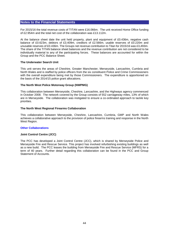For 2015/16 the total revenue costs of TITAN were £16.066m. The unit received Home Office funding of £2.954m and the total net cost of the collaboration was £13.112m.

At the balance sheet date the unit held property, plant and equipment of £0.436m, negative cash balance of £0.623m, debtors of £3.409m, creditors of £2.566m, usable reserves of £0.220m and unusable reserves of £0.436m. The Groups net revenue contribution to Titan for 2015/16 was £3,493m. The share of the TITAN balance sheet balances and the revenue contribution are not considered to be individually material to any of the participating forces. These balances are accounted for within the Group and the PCC Balance Sheet.

### **The Underwater Search Unit**

This unit serves the areas of Cheshire, Greater Manchester, Merseyside, Lancashire, Cumbria and North Wales and is staffed by police officers from the six constituent Police and Crime Commissioners with the overall expenditure being met by those Commissioners. The expenditure is apportioned on the basis of the 2014/15 police grant allocations.

### **The North West Police Motorway Group (NWPMG)**

This collaboration between Merseyside, Cheshire, Lancashire, and the Highways agency commenced in October 2008. The network covered by the Group consists of 552 carriageway miles, 13% of which are in Merseyside. The collaboration was instigated to ensure a co-ordinated approach to tackle key priorities.

### **The North West Regional Firearms Collaboration**

This collaboration between Merseyside, Cheshire, Lancashire, Cumbria, GMP and North Wales achieves a collaborative approach to the provision of police firearms training and response in the North West Region.

## **Other Collaborations**

### **Joint Control Centre (JCC)**

The PCC has developed a Joint Control Centre (JCC), which is shared by Merseyside Police and Merseyside Fire and Rescue Service. This project has involved refurbishing existing buildings as well as a new build. The PCC leases the building from Merseyside Fire and Rescue Service (MFRS) for a term of 40 years. Further detail regarding this collaboration can be found in the PCC and Group Statement of Accounts.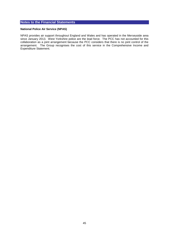### **National Police Air Service (NPAS)**

NPAS provides air support throughout England and Wales and has operated in the Merseyside area since January 2013. West Yorkshire police are the lead force. The PCC has not accounted for this collaboration as a joint arrangement because the PCC considers that there is no joint control of the arrangement. The Group recognises the cost of this service in the Comprehensive Income and Expenditure Statement.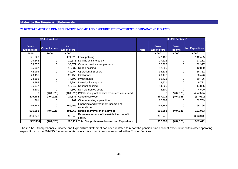### **20.RESTATEMENT OF COMPREHENSIVE INCOME AND EXPENDITURE STATEMENT (COMPARATIVE FIGURES)**

| 2014/15 Audited                    |                     |                                  |                                                                |             | 2014/15 Restated*                  |                               |                        |
|------------------------------------|---------------------|----------------------------------|----------------------------------------------------------------|-------------|------------------------------------|-------------------------------|------------------------|
| <b>Gross</b><br><b>Expenditure</b> | <b>Gross Income</b> | <b>Net</b><br><b>Expenditure</b> |                                                                | <b>Note</b> | <b>Gross</b><br><b>Expenditure</b> | <b>Gross</b><br><b>Income</b> | <b>Net Expenditure</b> |
| £000                               | £000                | £000                             |                                                                |             | £000                               | £000                          | £000                   |
| 171,520                            | 0                   | 171,520                          | Local policing                                                 |             | 142,405                            |                               | 142,405                |
| 29,845                             | 0                   |                                  | 29,845 Dealing with the public                                 |             | 27,112                             |                               | 27,112                 |
| 33,677                             | 0                   | 33,677                           | Criminal justice arrangements                                  |             | 32,327                             |                               | 32,327                 |
| 15,937                             | 0                   |                                  | 15,937 Roads policing                                          |             | 12,890                             |                               | 12,890                 |
| 42,994                             | 0                   | 42,994                           | <b>Operational Support</b>                                     |             | 36,332                             |                               | 36,332                 |
| 29,455                             | 0                   |                                  | 29,455 Intelligence                                            |             | 26,476                             |                               | 26,476                 |
| 74,693                             | 0                   |                                  | 74,693   Investigation                                         |             | 60,426                             |                               | 60,426                 |
| 9,894                              | 0                   | 9,894                            | Investigative support                                          |             | 9,721                              |                               | 9,721                  |
| 16,947                             | 0                   |                                  | 16,947 National policing                                       |             | 14,825                             |                               | 14,825                 |
| 4,500                              |                     |                                  | 4,500 Non-distributed costs                                    |             | 4,500                              |                               | 4,500                  |
| 0                                  | (404, 925)          |                                  | (404,925) PCC funding for financial resources consumed         |             |                                    | (404, 925)                    | (404, 925)             |
| 429,462                            | (404, 925)          |                                  | 24,537 Cost of services                                        |             | 367,014                            | (404, 925)                    | (37, 911)              |
| 261                                | 0                   | 261                              | Other operating expenditure                                    |             | 62,709                             |                               | 62,709                 |
| 166,265                            | 0                   | 166,265                          | Financing and investment income and<br>expenditure             |             | 166,265                            | 0                             | 166,265                |
| 595,988                            | (404, 925)          |                                  | 191,063   Deficit on Provision of Services                     |             | 595,988                            | (404, 925)                    | 191,063                |
| 396,348                            | 0                   | 396,348                          | <b>IRemeasurements of the net defined benefit</b><br>liability |             | 396,348                            |                               | 396,348                |
| 992,336                            | (404, 925)          |                                  | 587,411 Total Comprehensive Income and Expenditure             |             | 992,336                            | (404, 925)                    | 587,411                |

The 2014/15 Comprehensive Income and Expenditure Statement has been restated to report the pension fund account expenditure within other operating expenditure. In the 2014/15 Statement of Accounts this expenditure was reported within Cost of Services.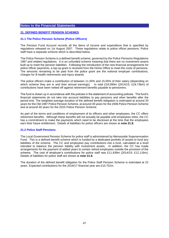## **21. DEFINED BENEFIT PENSION SCHEMES**

### **21.1 The Police Pension Scheme (Police Officers)**

The Pension Fund Account records all the items of income and expenditure that is specified by regulations released on 1st August 2007. These regulations relate to police officer pensions. Police staff have a separate scheme which is described below.

The Police Pension Scheme is a defined benefit scheme, governed by the Police Pensions Regulations 1987 and related regulations. It is an unfunded scheme meaning that there are no investment assets built up to meet the pension liabilities. Following the introduction of the new financial arrangements for police officer payments, a top up grant is received from the Home Office to meet the costs of pensions. The amounts remaining to be paid from the police grant are the notional employer contributions, charges for ill health retirements and injury awards.

The police officers make a contribution of between 11.00% and 15.05% of their salary (depending on which scheme they are in and their annual earnings). In total £18.090m (2014/15: £18.736m) of contributions have been netted off against retirement benefits payable to pensioners.

The fund is drawn up in accordance with the policies in the statement of accounting policies. The fund's financial statements do not take into account liabilities to pay pensions and other benefits after the period end. The weighted average duration of the defined benefit obligation is estimated at around 20 years for the Old 1987 Police Pension Scheme, at around 39 years for the 2006 Police Pension Scheme and at around 40 years for the 2015 Police Pension Scheme.

As part of the terms and conditions of employment of its officers and other employees, the CC offers retirement benefits. Although these benefits will not actually be payable until employees retire, the CC has a commitment to make the payments which need to be disclosed at the time that the employees earn their future entitlement. Details of liabilities for police officers are shown at **note 21.8.**

### **21.2 Police Staff Pensions**

The Local Government Pension Scheme for police staff is administered by Merseyside Superannuation Fund. This is a defined benefit scheme which is funded by a dedicated portfolio of assets to fund any liabilities of the scheme. The CC and employees pay contributions into a fund, calculated at a level intended to balance the pension liability with investment assets. In addition, the CC has made arrangements for the payment of added years to certain retired employees outside the provision of the scheme. The cost of employer's contributions for police staff was £11.839m (2014/15: £12.116m). Details of liabilities for police staff are shown at **note 21.8.**

The duration of the defined benefit obligation for the Police Staff Pension Scheme is estimated at 22 years. Expected contributions for the 2016/17 financial year are £10.751m.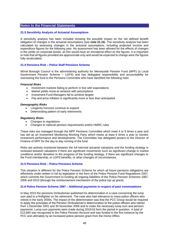### **21.3 Sensitivity Analysis of Actuarial Assumptions**

A sensitivity analysis has been included showing the possible impact on the net defined benefit obligation of changes in the actuarial assumptions (see **note 21.10**). The sensitivity analysis has been calculated by assessing changes in the actuarial assumptions, including projected income and expenditure figures for the following year. No assessment has been allowed for the effects of changes in the yields on corporate bonds, as this would have an immaterial effect on the figures. It is important to note that all figures provided are approximate only and would be expected to change were the figures fully recalculated.

### **21.4 Pensions Risk – Police Staff Pensions Scheme**

Wirral Borough Council is the administering authority for Merseyside Pension Fund (MPF) (a Local Government Pension Scheme – LGPS) and has delegated responsibility and accountability for overseeing the fund to the Pensions Committee who have identified the following risks:

#### *Financial Risks*

- Investment markets failing to perform in line with expectations
- Market yields move at variance with assumptions
- Investment Fund Managers fail to achieve targets
- Pay and price inflation is significantly more or less than anticipated

#### *Demographic Risks*

- Longevity horizons continue to expand
- Deteriorating pattern of early retirements

#### *Regulatory Risks*

- Changes to regulations
- Changes to national pension requirements and/or HMRC rules

These risks are managed through the MPF Pensions Committee which meet 4 or 5 times a year and has set up an Investment Monitoring Working Party which meets at least 6 times a year to monitor investment performance and developments. The Committee has delegated powers to the Director of Finance of MPF for the day to day running of the fund.

Risks are actively monitored between the full triennial actuarial valuations and the funding strategy is reviewed between valuations if there are significant movements such as significant change in market conditions and/or deviation in the progress of the funding strategy, if there are significant changes to the Fund membership, or LGPS benefits, or other changes of circumstances.

### **21.5 Pensions Risk – Police Pensions Scheme**

This situation is different for the Police Pension Scheme for which all future pensions obligations are effectively under-written in full by legislation in the form of the Police Pension Fund Regulations 2007, which commits the Government to funding all ongoing liabilities of the Police Pension Schemes 1987, 2006 and 2015 (through the reimbursement mechanism of the police top up grant).

### **21.6 Police Pension Scheme 1987 – Additional payments in respect of past commutations**

In May 2015 the pensions Ombudsman published his determination in a case concerning the lump sum paid to a firefighter on his retirement. The case also had relevance to many police officers who retired in the early 2000s. The impact of the determination was that the PCC Group would be required to apply the principles of the Pension Ombudsman's determination to the police officers who retired from 1 December 2001 and 30 November 2006 and to make the necessary lump sum and pension payments. Lump sum payments were made during 2015/16 form the period in question. A total of £12,660 was recognised in the Police Pension Account and was funded in the first instance by the PCC and ultimately by an increased police pension grant from the Home Office.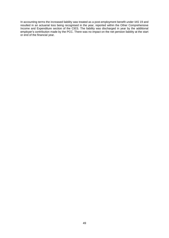In accounting terms the increased liability was treated as a post-employment benefit under IAS 19 and resulted in an actuarial loss being recognised in the year, reported within the Other Comprehensive Income and Expenditure section of the CIES. The liability was discharged in year by the additional employer's contribution made by the PCC. There was no impact on the net pension liability at the start or end of the financial year.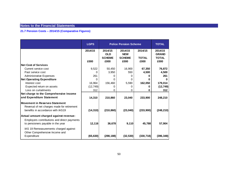.

# **21.7 Pension Costs – 2014/15 (Comparative Figures)**

|                                                                                  | <b>LGPS</b> |                                        | <b>Police Pension Scheme</b>           |                         | <b>TOTAL</b>                            |
|----------------------------------------------------------------------------------|-------------|----------------------------------------|----------------------------------------|-------------------------|-----------------------------------------|
|                                                                                  | 2014/15     | 2014/15<br><b>OLD</b><br><b>SCHEME</b> | 2014/15<br><b>NEW</b><br><b>SCHEME</b> | 2014/15<br><b>TOTAL</b> | 2014/15<br><b>GRAND</b><br><b>TOTAL</b> |
|                                                                                  | £000        | £000                                   | £000                                   | £000                    | £000                                    |
| <b>Net Cost of Services</b>                                                      |             |                                        |                                        |                         |                                         |
| Current service cost                                                             | 9,522       | 50,450                                 | 16,900                                 | 67,350                  | 76,872                                  |
| Past service cost                                                                | 0           | 3,950                                  | 550                                    | 4,500                   | 4,500                                   |
| <b>Administrative Expenses</b>                                                   | 261         | 0                                      | 0                                      |                         | 261                                     |
| <b>Net Operating Expenditure</b>                                                 | 0           | 0                                      | $\Omega$                               | n                       | $\bf{0}$                                |
| Interest cost                                                                    | 16,964      | 156,460                                | 5,590                                  | 162,050                 | 179,014                                 |
| Expected return on assets                                                        | (12, 749)   | 0                                      | 0                                      |                         | (12, 749)                               |
| Loss on curtailments                                                             | 312         | 0                                      | 0                                      | 0                       | 312                                     |
| Net charge to the Comprehensive Income                                           |             |                                        |                                        |                         |                                         |
| and Expenditure Statement                                                        | 14,310      | 210,860                                | 23,040                                 | 233,900                 | 248,210                                 |
| Movement in Reserves Statement                                                   |             |                                        |                                        |                         |                                         |
| Reversal of net charges made for retirement<br>benefits in accordance with IAS19 | (14, 310)   | (210, 860)                             | (23, 040)                              | (233,900)               | (248, 210)                              |
| Actual amount charged against revenue:                                           |             |                                        |                                        |                         |                                         |
| Employers contributions and direct payments<br>to pensioners payable in the year | 12,116      | 36,678                                 | 9,110                                  | 45,788                  | 57,904                                  |
| IAS 19 Remeasurements charged against                                            |             |                                        |                                        |                         |                                         |
| Other Comprehensive Income and<br>Expenditure                                    | (65, 630)   | (298, 188)                             | (32, 530)                              | (330, 718)              | (396, 348)                              |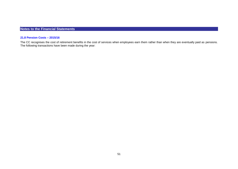#### **21.8 Pension Costs – 2015/16**

.

The CC recognises the cost of retirement benefits in the cost of services when employees earn them rather than when they are eventually paid as pensions. The following transactions have been made during the year: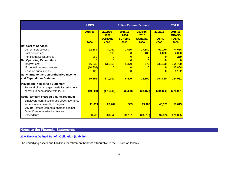|                                             | <b>LGPS</b><br><b>Police Pension Scheme</b> |                 |                 |                 |              | <b>TOTAL</b>            |
|---------------------------------------------|---------------------------------------------|-----------------|-----------------|-----------------|--------------|-------------------------|
|                                             | 2015/16                                     | 2015/16<br>1987 | 2015/16<br>2006 | 2015/16<br>2015 | 2015/16      | 2015/16<br><b>GRAND</b> |
|                                             |                                             | <b>SCHEME</b>   | <b>SCHEME</b>   | <b>SCHEME</b>   | <b>TOTAL</b> | <b>TOTAL</b>            |
|                                             | £000                                        | £000            | £000            | £000            | £000         | £000                    |
| <b>Net Cost of Services</b>                 |                                             |                 |                 |                 |              |                         |
| Current service cost                        | 12,384                                      | 34,060          | 1,030           | 27,180          | 62,270       | 74,654                  |
| Past service cost                           | $\Omega$                                    | 3,690           | $\Omega$        | 400             | 4,090        | 4,090                   |
| <b>Administrative Expenses</b>              | 269                                         | O               | $\Omega$        | $\bf{0}$        | n            | 269                     |
| <b>Net Operating Expenditure</b>            | $\overline{0}$                              | $\Omega$        | $\Omega$        | $\bf{0}$        | n            | $\Omega$                |
| Interest cost                               | 16,230                                      | 132,550         | 5,370           | 570             | 138,490      | 154,720                 |
| Expected return on assets                   | (10, 804)                                   | $\Omega$        | $\Omega$        | O               | O            | (10, 804)               |
| Loss on curtailments                        | 1,122                                       | 0               | $\overline{0}$  | $\bf{0}$        | $\bf{0}$     | 1,122                   |
| Net charge to the Comprehensive Income      |                                             |                 |                 |                 |              |                         |
| and Expenditure Statement                   | 19,201                                      | 170,300         | 6,400           | 28,150          | 204,850      | 224,051                 |
| <b>Movement in Reserves Statement</b>       |                                             |                 |                 |                 |              |                         |
| Reversal of net charges made for retirement |                                             |                 |                 |                 |              |                         |
| benefits in accordance with IAS19           | (19, 201)                                   | (170, 300)      | (6,400)         | (28, 150)       | (204, 850)   | (224, 051)              |
|                                             |                                             |                 |                 |                 |              |                         |
| Actual amount charged against revenue:      |                                             |                 |                 |                 |              |                         |
| Employers contributions and direct payments |                                             |                 |                 |                 |              |                         |
| to pensioners payable in the year           | 11,839                                      | 26,262          | 509             | 19,405          | 46,176       | 58,015                  |
| IAS 19 Remeasurements charged against       |                                             |                 |                 |                 |              |                         |
| Other Comprehensive Income and              |                                             |                 |                 |                 |              |                         |
| Expenditure                                 | 23,501                                      | 589,348         | 31,191          | (23, 015)       | 597,524      | 621,025                 |

# **21.9 The Net Defined Benefit Obligation (Liability)**

The underlying assets and liabilities for retirement benefits attributable to the CC are as follows: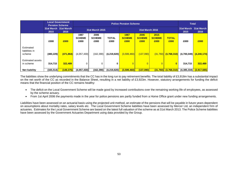|                                       |                               | <b>Local Government</b><br><b>Pension Scheme</b> | <b>Police Pension Scheme</b>  |                               |                      |                               |                               |                               |                      | <b>Total</b>       |                    |
|---------------------------------------|-------------------------------|--------------------------------------------------|-------------------------------|-------------------------------|----------------------|-------------------------------|-------------------------------|-------------------------------|----------------------|--------------------|--------------------|
|                                       | 31st March 31st March<br>2015 | 2016                                             | 31st March 2015               |                               |                      | 31st March 2016               |                               |                               |                      | 31st March<br>2015 | 31st March<br>2016 |
|                                       | £000                          | £000                                             | 1987<br><b>SCHEME</b><br>£000 | 2006<br><b>SCHEME</b><br>£000 | <b>TOTAL</b><br>£000 | 1987<br><b>SCHEME</b><br>£000 | 2006<br><b>SCHEME</b><br>£000 | 2015<br><b>SCHEME</b><br>£000 | <b>TOTAL</b><br>£000 | £000               | £000               |
| Estimated<br>liabilities in<br>scheme | (480, 229)                    | (471, 864)                                       | (4,057,430)                   | (162, 390)                    | (4,219,820)          | (3,599,460)                   | (137,090)                     | (31,760)                      | (3,768,310)          | (4,700,049)        | (4, 240, 174)      |
| Estimated assets<br>in scheme         | 314,715                       | 322,489                                          | 0                             | 0                             | 0                    |                               | $\overline{0}$                |                               | $\mathbf{0}$         | 314,715            | 322,489            |
| <b>Net liability</b>                  | (165, 514)                    | (149, 375)                                       | (4,057,430)                   | (162, 390)                    | (4, 219, 820)        | (3,599,460)                   | (137,090)                     | (31,760)                      | (3,768,310)          | (4,385,334)        | (3,917,685)        |

The liabilities show the underlying commitments that the CC has in the long run to pay retirement benefits. The total liability of £3,918m has a substantial impact on the net worth of the CC as recorded in the Balance Sheet, resulting in a net liability of £3,923m. However, statutory arrangements for funding the deficit means that the financial position of the CC remains healthy:

- The deficit on the Local Government Scheme will be made good by increased contributions over the remaining working life of employees, as assessed by the scheme actuary.
- From 1st April 2006 the payments made in the year for police pensions are partly funded from a Home Office grant under new funding arrangements.

Liabilities have been assessed on an actuarial basis using the projected unit method, an estimate of the pensions that will be payable in future years dependent on assumptions about mortality rates, salary levels etc. The Local Government Scheme liabilities have been assessed by Mercer Ltd, an independent firm of actuaries. Estimates for the Local Government Scheme are based on the latest full valuation of the scheme as at 31st March 2013. The Police Scheme liabilities have been assessed by the Government Actuaries Department using data provided by the Group.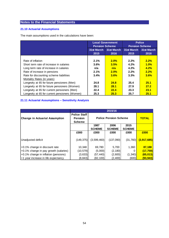# **21.10 Actuarial Assumptions**

The main assumptions used in the calculations have been:

|                                                | <b>Pension Scheme</b> | <b>Local Government</b> |            | <b>Police</b><br><b>Pension Scheme</b> |
|------------------------------------------------|-----------------------|-------------------------|------------|----------------------------------------|
|                                                | 31st March            | 31st March              | 31st March | 31st March                             |
|                                                | 2015                  | 2016                    | 2015       | 2016                                   |
|                                                |                       |                         |            |                                        |
| Rate of inflation                              | 2.1%                  | 2.0%                    | 2.2%       | 2.2%                                   |
| Short term rate of increase in salaries        | 3.6%                  | 3.5%                    | 4.2%       | 1.0%                                   |
| Long term rate of increase in salaries         | n/a                   | n/a                     | 4.2%       | 4.2%                                   |
| Rate of increase in pensions                   | 2.1%                  | 2.0%                    | 2.2%       | 2.2%                                   |
| Rate for discounting scheme liabilities        | 3.4%                  | 3.6%                    | 3.3%       | 3.6%                                   |
| Mortality Rates (in years)                     |                       |                         |            |                                        |
| Longevity at 65 for future pensioners (Men)    | 24.8                  | 24.8                    | 25.4       | 25.1                                   |
| Longevity at 65 for future pensioners (Women)  | 28.1                  | 28.1                    | 27.9       | 27.2                                   |
| Longevity at 65 for current pensioners (Men)   | 22.4                  | 22.4                    | 23.3       | 23.1                                   |
| Longevity at 65 for current pensioners (Women) | 25.3                  | 25.3                    | 25.7       | 25.1                                   |

# **21.11 Actuarial Assumptions – Sensitivity Analysis**

|                                       | 2015/16             |                              |               |               |             |  |  |  |  |
|---------------------------------------|---------------------|------------------------------|---------------|---------------|-------------|--|--|--|--|
|                                       | <b>Police Staff</b> |                              |               |               |             |  |  |  |  |
| <b>Change in Actuarial Assumption</b> | <b>Pension</b>      | <b>Police Pension Scheme</b> |               | <b>TOTAL</b>  |             |  |  |  |  |
|                                       | <b>Scheme</b>       |                              |               |               |             |  |  |  |  |
|                                       |                     | 1987                         | 2006          | 2015          |             |  |  |  |  |
|                                       |                     | <b>SCHEME</b>                | <b>SCHEME</b> | <b>SCHEME</b> |             |  |  |  |  |
|                                       | £000                | £000                         | £000          | £000          | £000        |  |  |  |  |
|                                       |                     |                              |               |               |             |  |  |  |  |
| Unadjusted deficit                    | (149, 375)          | (3,599,460)                  | (137,090)     | (31,760)      | (3,917,685) |  |  |  |  |
|                                       |                     |                              |               |               |             |  |  |  |  |
| +0.1% change in discount rate         | 10,348              | 69,780                       | 5,700         | 1.360         | 87,188      |  |  |  |  |
| +0.1% change in pay growth (salaries) | (10,579)            | (5,000)                      | (2, 180)      | 0             | (17, 759)   |  |  |  |  |
| +0.1% change in inflation (pensions)  | (3,633)             | (57, 440)                    | (2,600)       | (1, 340)      | (65, 013)   |  |  |  |  |
| +1 year increase in life expectancy   | (8, 843)            | (82, 100)                    | (2,400)       | (600)         | (93, 943)   |  |  |  |  |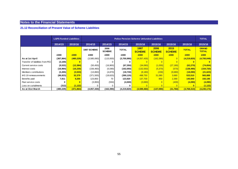### **21.12 Reconciliation of Present Value of Scheme Liabilities**

|                                   | <b>LGPS Funded Liabilities</b> |            | <b>Police Pension Scheme Unfunded Liabilities</b> |                       |              |                       |                       |                       |              |                              |
|-----------------------------------|--------------------------------|------------|---------------------------------------------------|-----------------------|--------------|-----------------------|-----------------------|-----------------------|--------------|------------------------------|
|                                   | 2014/15                        | 2015/16    | 2014/15<br>2014/15                                |                       | 2014/15      | 2015/16               | 2015/16               | 2015/16               | 2015/16      | 2015/16                      |
|                                   |                                |            | 1987 SCHEME                                       | 2006<br><b>SCHEME</b> | <b>TOTAL</b> | 1987<br><b>SCHEME</b> | 2006<br><b>SCHEME</b> | 2015<br><b>SCHEME</b> | <b>TOTAL</b> | <b>GRAND</b><br><b>TOTAL</b> |
|                                   | £000                           | £000       | £000                                              | £000                  | £000         | £000                  | £000                  | £000                  | £000         | £000                         |
| As at 1st April                   | (367, 864)                     | (480, 229) | (3,585,060)                                       | (115,930)             | (3,700,990)  | (4,057,430)           | (162, 390)            |                       | (4,219,820)  | (4,700,049)                  |
| Transfer of liabilities from PCCI | (3,100)                        |            |                                                   |                       | 0            | $\Omega$              | $\Omega$              |                       | $\bf{0}$     |                              |
| Current service costs             | (9,522)                        | (12, 384)  | (50, 450)                                         | (16,900)              | (67, 350)    | (34,060)              | (1,030)               | (27, 180)             | (62, 270)    | (74, 654)                    |
| Interest costs                    | (16, 964)                      | (16, 230)  | (156, 460)                                        | (5,590)               | (162,050)    | (132,550)             | (5,370)               | (570)                 | (138, 490)   | (154, 720)                   |
| Members contributions             | (3, 455)                       | (3,533)    | (13,860)                                          | (4,870)               | (18, 730)    | (8, 180)              | (230)                 | (9,680)               | (18,090)     | (21, 623)                    |
| IAS 19 remeasurements             | (86, 823)                      | 32,379     | (371,500)                                         | (18,620)              | (390, 120)   | 498,750               | 31,080                | 3,680                 | 533,510      | 565,889                      |
| Benefits paid                     | 7,811                          | 9,255      | 123,850                                           | 70                    | 123,920      | 137,700               | 850                   | 2,390                 | 140,940      | 150,195                      |
| Past service costs                | 0                              |            | (3,950)                                           | (550)                 | (4,500)      | (3,690)               | $\Omega$              | (400)                 | (4,090)      | (4,090)                      |
| Loss on curtailments              | (312)                          | (1, 122)   |                                                   |                       |              |                       |                       |                       |              | (1, 122)                     |
| As at 31st March                  | (480, 229)                     | (471, 864) | (4,057,430)                                       | (162, 390)            | (4,219,820)  | (3,599,460)           | (137,090)             | (31,760)              | (3,768,310)  | (4,240,174)                  |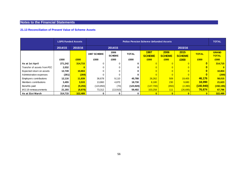# **21.13 Reconciliation of Present Value of Scheme Assets**

|                                |          | <b>LGPS Funded Assets</b> |             |                       |            | <b>Police Pension Scheme Unfunded Assets</b>   | <b>TOTAL</b> |                       |              |                              |
|--------------------------------|----------|---------------------------|-------------|-----------------------|------------|------------------------------------------------|--------------|-----------------------|--------------|------------------------------|
|                                | 2014/15  | 2015/16                   |             | 2014/15               |            |                                                |              |                       |              |                              |
|                                |          |                           | 1987 SCHEME | 2006<br><b>SCHEME</b> |            | 1987<br>2006<br><b>SCHEME</b><br><b>SCHEME</b> |              | 2015<br><b>SCHEME</b> | <b>TOTAL</b> | <b>GRAND</b><br><b>TOTAL</b> |
|                                | £000     | £000                      | £000        | £000                  | £000       | £000                                           | £000         | £000                  | £000         | £000                         |
| As at 1st April                | 271,242  | 314,715                   | 0           |                       |            |                                                |              |                       | 0            | 314,715                      |
| Transfer of assets from PCC    | 2,032    |                           | 0           |                       |            |                                                |              |                       |              |                              |
| Expected return on assets      | 12,749   | 10,804                    | 0           |                       |            |                                                |              |                       | $\bf{0}$     | 10,804                       |
| Administrative expenses        | (261)    | (269)                     | 0           |                       |            |                                                |              |                       |              | (269)                        |
| <b>Employers contributions</b> | 12,116   | 11,839                    | 36,678      | 9,110                 | 45,788     | 26,262                                         | 509          | 19,405                | 46,176       | 58,015                       |
| Members contributions          | 3,455    | 3,533                     | 13,860      | 4,870                 | 18,730     | 8,180                                          | 230          | 9,680                 | 18,090       | 21,623                       |
| Benefits paid                  | (7, 811) | (9,255)                   | (123, 850)  | (70)                  | (123, 920) | (137,700)                                      | (850)        | (2,390)               | (140, 940)   | (150, 195)                   |
| IAS 19 remeasurements          | 21,193   | (8, 878)                  | 73,312      | (13,910)              | 59,402     | 103,258                                        | 111          | (26, 695)             | 76,674       | 67,796                       |
| As at 31st March               | 314,715  | 322,489                   | 0           | 0                     |            |                                                |              |                       |              | 322,489                      |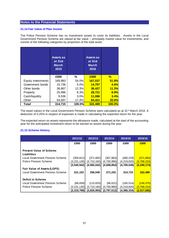### **21.14 Fair Value of Plan Assets**

The Police Pension Scheme has no investment assets to cover its liabilities. Assets in the Local Government Pension Scheme are valued at fair value – principally market value for investments, and consist of the following categories by proportion of the total asset:

|                    | Assets as<br>at 31st<br><b>March</b><br>2015 |        | <b>Assets as</b><br>at 31st<br><b>March</b><br>2016 |        |
|--------------------|----------------------------------------------|--------|-----------------------------------------------------|--------|
|                    | £000                                         | $\%$   | £000                                                | %      |
| Equity investments | 169,883                                      | 54.0%  | 167,037                                             | 51.8%  |
| Government bonds   | 15,736                                       | 5.0%   | 14,797                                              | 4.6%   |
| Other bonds        | 38,867                                       | 12.3%  | 36,427                                              | 11.3%  |
| Property           | 25,996                                       | 8.3%   | 28,721                                              | 8.9%   |
| Cash/liquidity     | 9,536                                        | 3.0%   | 11,086                                              | 3.4%   |
| Other              | 54,697                                       | 17.4%  | 64,421                                              | 20.0%  |
| Total              | 314,715                                      | 100.0% | 322,489                                             | 100.0% |

The asset values in the Local Government Pension Scheme were calculated as at 31<sup>st</sup> March 2016. A deduction of 0.25% in respect of expenses is made in calculating the expected return for the year.

The expected return on assets represents the allowance made, calculated at the start of the accounting year for the anticipated investment return to be earned on assets during the year.

## **21.15 Scheme History**

|                                 | 2011/12     | 2012/13     | 2013/14     | 2014/15     | 2015/16             |
|---------------------------------|-------------|-------------|-------------|-------------|---------------------|
|                                 | £000        | £000        | £000        | £000        | £000                |
|                                 |             |             |             |             |                     |
| <b>Present Value of Scheme</b>  |             |             |             |             |                     |
| <b>Liabilities</b>              |             |             |             |             |                     |
| Local Government Pension Scheme | (309, 812)  | (371, 882)  | (367, 864)  | (480, 229)  | (471, 864)          |
| Police Pension Scheme           | (3,231,130) | (3,710,160) | (3,700,990) | (4,219,820) | (3,768,310)         |
|                                 | (3,540,942) | (4,082,042) | (4,068,854) | (4,700,049) | <u>(4,240,174) </u> |
| Fair Value of Assets (LGPS)     |             |             |             |             |                     |
| Local Government Pension Scheme | 221,153     | 256,049     | 271,242     | 314,715     | 322,489             |
|                                 |             |             |             |             |                     |
| <b>Deficit in Scheme</b>        |             |             |             |             |                     |
| Local Government Pension Scheme | (88, 659)   | (115, 833)  | (96, 622)   | (165, 514)  | (149, 375)          |
| Police Pension Scheme           | (3,231,130) | (3,710,160) | (3.700.990) | (4,219,820) | (3,768,310)         |
|                                 | (3,319,789) | (3,825,993) | (3,797,612) | (4,385,334) | (3,917,685)         |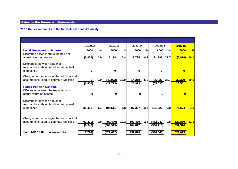# **21.16 Remeasurements of the Net Defined Benefit Liability**

|                                                                                                  | 2011/12               |                  | 2012/13                  |             | 2013/14            |          | 2014/15                       |      | 2015/16                 |               |
|--------------------------------------------------------------------------------------------------|-----------------------|------------------|--------------------------|-------------|--------------------|----------|-------------------------------|------|-------------------------|---------------|
| <b>Local Government Scheme</b><br>Difference between the expected and<br>actual return on assets | £000<br>(8, 852)      | %<br>4.0         | £000<br>18,199           | $\%$<br>6.4 | £000<br>12,775     | %<br>4.7 | £000<br>21,193 27.7           | $\%$ | £000<br>$(8,878) -10.1$ | $\frac{9}{6}$ |
| Differences between actuarial<br>assumptions about liabilities and actual<br>experience          | 0                     |                  | 0                        |             | 0                  |          | 0                             |      | $\mathbf{0}$            |               |
| Changes in the demographic and financial<br>assumptions used to estimate liabilities             | 0<br>(8, 852)         | 0.0 <sub>l</sub> | (40, 972)<br>(22, 773)   | 16.0        | 14,218<br>26,993   | 5.2      | $(86, 823)$ 27.7<br>(65, 630) |      | 32,379<br>23,501        | 10.1          |
| <b>Police Pension Scheme</b><br>Difference between the expected and<br>actual return on assets   | 0                     |                  | $\bf{0}$                 |             | $\bf{0}$           |          | $\Omega$                      |      | $\bf{0}$                |               |
| Differences between actuarial<br>assumptions about liabilities and actual<br>experience          | 83,428                | 1.1              | 194,511                  | 4.8         | 97,367             | 2.4      | 131,322                       | 2.8  | 76,674                  | 1.6           |
| Changes in the demographic and financial<br>assumptions used to estimate liabilities             | (92, 370)<br>(8, 942) | 2.91             | (499, 430)<br>(304, 919) | 12.2        | 107,460<br>204,827 | 2.6      | (462, 040)<br>(330, 718)      | 9.8  | 520,850<br>597,524      | 11.1          |
| <b>Total IAS 19 Remeasurements</b>                                                               | (17, 794)             |                  | (327, 692)               |             | 231,820            |          | (396, 348)                    |      | 621,025                 |               |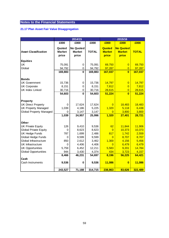# **21.17 Plan Asset Fair Value Disaggregation**

|                                |               | 2014/15          |              | 2015/16        |                         |              |  |
|--------------------------------|---------------|------------------|--------------|----------------|-------------------------|--------------|--|
|                                | £000          | £000             | £000         | £000           | £000                    | £000         |  |
|                                | Quoted        | <b>No Quoted</b> |              | Quoted         | <b>No Quoted</b>        |              |  |
| <b>Asset Classification</b>    | <b>Market</b> | <b>Market</b>    | <b>TOTAL</b> | <b>Market</b>  | <b>Market</b>           | <b>TOTAL</b> |  |
|                                | price         | price            |              | price          | price                   |              |  |
|                                |               |                  |              |                |                         |              |  |
| <b>Equities</b>                |               |                  |              |                |                         |              |  |
| <b>UK</b>                      | 75,091        | 0                | 75,091       | 69,750         | $\overline{0}$          | 69,750       |  |
| Global                         | 94,792        | 0                | 94,792       | 97,287         | 0                       | 97,287       |  |
|                                | 169,883       | 0                | 169,883      | 167,037        | $\bf{0}$                | 167,037      |  |
| <b>Bonds</b>                   |               |                  |              |                |                         |              |  |
| <b>UK Government</b>           | 15,736        | 0                | 15,736       | 14,797         | $\overline{0}$          | 14,797       |  |
| <b>UK Corporate</b>            | 8,151         | 0                | 8,151        | 7,812          | 0                       | 7,812        |  |
| <b>UK Index Linked</b>         | 30,716        | 0                | 30,716       | 28,615         | 0                       | 28,615       |  |
|                                | 54,603        | $\bf{0}$         | 54,603       | 51,224         | $\overline{\mathbf{0}}$ | 51,224       |  |
|                                |               |                  |              |                |                         |              |  |
| Property                       |               |                  |              |                |                         |              |  |
| <b>UK Direct Property</b>      | 0             | 17,624           | 17,624       | $\overline{0}$ | 18,483                  | 18,483       |  |
| <b>UK Property Managed</b>     | 1,039         | 4,186            | 5,225        | 1,320          | 5,118                   | 6,438        |  |
| <b>Global Property Managed</b> | 0             | 3,147            | 3,147        | $\overline{0}$ | 3,800                   | 3,800        |  |
|                                | 1,039         | 24,957           | 25,996       | 1,320          | 27,401                  | 28,721       |  |
|                                |               |                  |              |                |                         |              |  |
| <b>Other</b>                   |               |                  |              |                |                         |              |  |
| <b>UK Private Equity</b>       | 126           | 9,410            | 9,536        | 62             | 11,844                  | 11,906       |  |
| <b>Global Private Equity</b>   | 0             | 8,623            | 8,623        | $\overline{0}$ | 10,373                  | 10,373       |  |
| <b>UK Hedge Funds</b>          | 787           | 1,699            | 2,486        | 817            | 1,742                   | 2,559        |  |
| Global Hedge Funds             | 0             | 9,599            | 9,599        | $\overline{0}$ | 8,707                   | 8,707        |  |
| Global Infrastructure          | 850           | 2,612            | 3,462        | 1,300          | 4,156                   | 5,456        |  |
| <b>UK</b> Infrastructure       | 0             | 4,406            | 4,406        | $\Omega$       | 6,479                   | 6,479        |  |
| <b>UK Opportunities</b>        | 5,759         | 6,452            | 12,211       | 5,583          | 9,201                   | 14,784       |  |
| <b>Global Opportunities</b>    | 944           | 3,430            | 4,374        | 434            | 3,723                   | 4,157        |  |
|                                | 8,466         | 46,231           | 54,697       | 8,196          | 56,225                  | 64,421       |  |
| Cash                           |               |                  |              |                |                         |              |  |
| Cash Instruments               | 9,536         | 0                | 9,536        | 11,086         | $\bf{0}$                | 11,086       |  |
|                                | 243,527       | 71,188           | 314,715      | 238,863        | 83,626                  | 322,489      |  |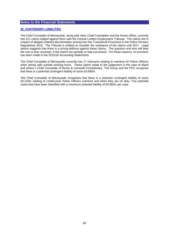### **22. CONTINGENT LIABILITIES**

The Chief Constable of Merseyside, along with other Chief Constables and the Home Office, currently has 121 claims lodged against them with the Central London Employment Tribunal. The claims are in respect of alleged unlawful discrimination arising from the Transitional Provisions in the Police Pension Regulations 2015. The Tribunal is unlikely to consider the substance of the claims until 2017. Legal advice suggests that there is a strong defence against these claims. The quantum and who will bear the cost is also uncertain, if the claims are partially or fully successful. For these reasons, no provision has been made in the 2015/16 Accounting Statements.

The Chief Constable of Merseyside currently has 17 claimants relating to overtime for Police Officers when taking calls outside working hours. These claims relate to the judgement in the case of Allard and others v Chief Constable of Devon & Cornwall Constabulary. The Group and the PCC recognise that there is a potential contingent liability of some £0.690m.

The Chief Constable of Merseyside recognises that there is a potential contingent liability of some £0.120m relating to Undercover Police Officers overtime and when they are on duty. Two potential cases that have been identified with a maximum potential liability of £0.060m per case.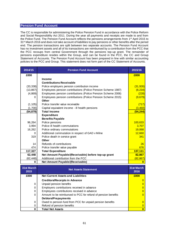# **Pension Fund Account**

The CC is responsible for administering the Police Pension Fund in accordance with the Police Reform and Social Responsibility Act 2011. During the year all payments and receipts are made to and from the Police Fund. The Pension Fund Account reflects the pensions arrangements from 1<sup>st</sup> April 2015 to 31<sup>st</sup> March 2016 and does not take account of liabilities to pay pensions or other benefits after the period end. The pension transactions are split between two separate accounts. The Pension Fund Account has no investment assets and all of its transactions are reimbursed by a contribution from the PCC that the PCC recoups from central Government through the pensions top-up grant. The remainder of pensions expenditure resides within the Group, and can be found in the PCC, the CC and Group Statement of Accounts. The Pension Fund Account has been prepared in line with similar accounting policies to the PCC and Group. This statement does not form part of the CC Statement of Accounts.

| 2014/15   | <b>Pension Fund Account</b>                                  | 2015/16         |
|-----------|--------------------------------------------------------------|-----------------|
| £000      |                                                              | £000            |
|           | <b>Income</b>                                                |                 |
|           | <b>Contributions Receivable</b>                              |                 |
| (33, 338) | Police employers pension contribution income                 | (31, 926)       |
| (13, 867) | Employees pension contributions (Police Pension Scheme 1987) | (8, 234)        |
| (4,869)   | Employees pension contributions (Police Pension Scheme 2006) | (228)           |
| 0         | Employees pension contributions (Police Pension Scheme 2015) | (9,679)         |
|           | <b>Other</b>                                                 |                 |
| (1, 105)  | Police transfer value receivable                             | (717)           |
| (1,700)   | Capital equivalent income - ill health pensions              | (3,460)         |
| (54, 879) | <b>Total Income</b>                                          | <u>(54,244)</u> |
|           | <b>Expenditure</b>                                           |                 |
|           | <b>Benefits Payable</b>                                      |                 |
| 96,264    | Police pensions                                              | 100,633         |
| 3,994     | Police ill health commutations                               | 3,707           |
| 16,262    | Police ordinary commutations                                 | 19,068          |
| $\Omega$  | Additional commutation in respect of GAD v Milne             | 12,660          |
| 319       | Police death in service grant                                | 341             |
|           | <b>Other</b>                                                 |                 |
| 14        | Refunds of contributions                                     | 26              |
| 474       | Police transfer value payable                                | 676             |
| 117,327   | <b>Total Expenditure</b>                                     | 137,111         |
| 62,448    | Net Amount Payable/(Receivable) before top-up grant          | 82,867          |
| (62, 448) | Additional contribution from the PCC                         | (82, 867)       |
| 0         | Net Amount Payable/(Receivable)                              | $\bf{0}$        |

| 31st March<br>2015 | <b>Net Assets Statement</b>                                   | 31st March<br>2016 |
|--------------------|---------------------------------------------------------------|--------------------|
| £000               | <b>Net Current Assets and Liabilities</b>                     | £000               |
|                    | <b>Creditors/Receipts in Advance</b>                          |                    |
| 0                  | Unpaid pension benefits                                       |                    |
| 0                  | Employers contributions received in advance                   |                    |
| 0                  | Employees contributions received in advance                   |                    |
| 0                  | Amount to be reimbursed to PCC for refund of pension benefits |                    |
|                    | <b>Debtors/Prepayments</b>                                    |                    |
| 0                  | Owed to pension fund from PCC for unpaid pension benefits     |                    |
| 0                  | Refund of pension benefits                                    |                    |
| 0                  | <b>Total Net Assets</b>                                       |                    |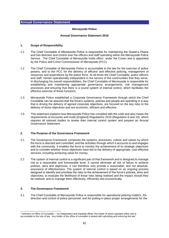### **Merseyside Police**

### **Annual Governance Statement 2016**

### **1. Scope of Responsibility**

- 1.1 The Chief Constable of Merseyside Police is responsible for maintaining the Queen's Peace and has direction and control over the officers and staff operating within the Merseyside Police Service. The Chief Constable of Merseyside holds office<sup>1</sup> under the Crown and is appointed by the Police and Crime Commissioner of Merseyside (PCC).
- 1.2 The Chief Constable of Merseyside Police is accountable to the law for the exercise of police powers, and to the PCC for the delivery of efficient and effective policing, management of resources and expenditure by the police force. At all times the Chief Constable, police officers and staff, remain operationally independent in the service of the communities that they serve. In discharging his overall responsibilities, the Chief Constable of Merseyside is responsible for establishing and maintaining appropriate governance arrangements, risk management processes and ensuring that there is a sound system of internal control, which facilitates the effective exercise of these functions.
- 1.3 Merseyside Police established a Corporate Governance Framework through which the Chief Constable can be assured that the force's systems, policies and people are operating in a way that is driving the delivery of agreed corporate objectives, are focused on the key risks to the delivery of those objectives and are economic, efficient and effective.
- 1.4 This statement explains how Merseyside Police has complied with the code and also meets the requirements of Accounts and Audit (England) Regulations 2015 (Regulation 6 and 10), which requires all relevant bodies to review their internal control system and prepare an Annual Governance Statement.

## **2. The Purpose of the Governance Framework**

- 2.1 The Governance Framework comprises the systems, processes, culture and values by which the force is directed and controlled, and the activities through which it accounts to and engages with the community. It enables the force to monitor the achievement of its strategic objectives and to consider whether those objectives have led to the delivery of appropriate, cost-effective services, including achieving value for money.
- 2.2 The system of internal control is a significant part of that framework and is designed to manage risk to a reasonable and foreseeable level. It cannot eliminate all risk of failure to achieve policies, aims and objectives. It can therefore only provide a reasonable, and not absolute, assurance of effectiveness. The system of internal control is based on an ongoing process designed to identify and prioritise the risks to the achievement of the force's policies, aims and objectives, to evaluate the likelihood of those risks being realised and the impact should they be realised, and to manage them effectively, efficiently and economically.

### **3. The Governance Framework**

1

3.1 The Chief Constable of Merseyside Police is responsible for operational policing matters, the direction and control of police personnel, and for putting in place proper arrangements for the

<sup>1</sup> Definition of Office of Constable – "an independent and impartial officer, the holder of whom operates within and is accountable to the rule of law. Any holder of the office of constable is tasked with upholding and enforcing the law".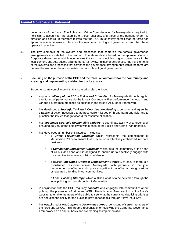governance of the force. The Police and Crime Commissioner for Merseyside is required to hold him to account for the exercise of those functions, and those of the persons under his direction and control. It therefore follows that the PCC must satisfy herself that the force has appropriate mechanisms in place for the maintenance of good governance, and that these operate in practice.

3.2 The key elements of the system and processes that comprise the force's governance arrangements are detailed in this section. The elements are based on the approved Code of Corporate Governance, which incorporates the six core principles of good governance in the local context, and sets out the arrangements for reviewing their effectiveness. The key elements of the systems and processes that comprise the governance arrangements within the force are detailed below under the appropriate core principles of good governance:

### **Focusing on the purpose of the PCC and the force, on outcomes for the community, and creating and implementing a vision for the local area.**

To demonstrate compliance with this core principle, the force:

- supports *delivery of the PCC's Police and Crime Plan* for Merseyside through regular monitoring of performance via the force's Community First performance framework and various governance meetings as outlined in the force's Assurance Framework.
- has developed a *Strategic Tasking & Coordination Meeting* to consider and agree the strategic direction necessary to address current issues of threat, harm and risk; and to prioritise the issues that go forward for resource allocation.
- has *appointed Strategic Responsible Officers* to coordinate activity at a force level, ensuring delivery of the objectives within each of the Police and Crime Plan priorities.
- has developed a number of strategies, including:
	- a **Crime Prevention Strategy** which represents the commitment of Merseyside Police to ensure that Prevention is effectively embedded into core business
	- o a *Community Engagement Strategy*, which puts the community at the heart of all our decisions and is designed to enable us to effectively engage with communities to increase public confidence.
	- o a revised *Integrated Offender Management Strategy,* to ensure there is a coordinated response across Merseyside, with partners, in the joint management of offenders who pose a significant risk of harm through serious or repeated offending in our communities.
	- o a *Local Policing Strategy*, which outlines what is to be delivered through the local policing function throughout Merseyside.
- in conjunction with the PCC, regularly *consults and engages* with communities about policing, the prevention of crime and ASB. There is 'Your Area' section on the force's website, to enable members of the public to see what the current local policing priorities are and also the ability for the public to provide feedback through 'Have Your Say'.
- has established a joint *Corporate Governance Group*, consisting of senior members of the force and OPCC. This group is responsible for reviewing the Corporate Governance Framework on an annual basis and overseeing its implementation.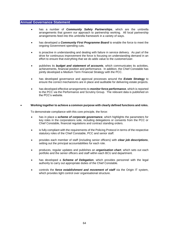- has a number of *Community Safety Partnerships*, which are the umbrella arrangements that govern our approach to partnership working. All local partnership arrangements feed into this umbrella framework in a variety of ways.
- has developed a *Community First Programme Board* to enable the force to meet the ongoing Government spending cuts.
- is proactive in understanding and dealing with failure in service delivery. As part of the drive for continuous improvement the force is focusing on understanding demand in an effort to ensure that everything that we do adds value to the customer/user.
- publishes its *budget and statement of accounts*, which communicates its activities, achievements, financial position and performance. In addition, the Chief Constable has jointly developed a Medium Term Financial Strategy with the PCC.
- has developed governance and approval processes around the *Estate Strategy* to ensure the correct mechanisms are in place and auditable for delivering estate projects.
- has developed effective arrangements to *monitor force performance*, which is reported to the PCC via the Performance and Scrutiny Group. The relevant data is published on the PCC's website.

### **Working together to achieve a common purpose with clearly defined functions and roles.**

To demonstrate compliance with this core principle, the force:

- has in place a *scheme of corporate governance*, which highlights the parameters for key roles in the corporations sole, including delegations or consents from the PCC or Chief Constable, financial regulations and contract standing orders.
- is fully compliant with the requirements of the Policing Protocol in terms of the respective statutory roles of the Chief Constable, PCC and senior staff.
- provides each member of staff (including senior officers) with *clear job descriptions*, setting out the principal accountabilities for each role.
- produces, regular updates and publishes an *organisation chart*, which sets out each portfolio and the senior officers and staff within each BCU and department.
- has developed a *Scheme of Delegation*, which provides personnel with the legal authority to carry out appropriate duties of the Chief Constable.
- controls the *force establishment and movement of staff* via the Origin IT system, which provides tight control over organisational structure.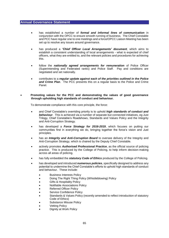- has established a number of *formal and informal lines of communication* in conjunction with the OPCC to ensure smooth running of business. The Chief Constable and PCC have regular one to one meetings and a force/OPCC Liaison Meeting has been set up to resolve any issues around governance.
- has produced a *'Chief Officer Local Arrangements' document*, which aims to establish a consistent understanding of local arrangements - what is expected of chief officers, what they are entitled to, and the relevant policies and procedures for achieving this.
- follow the *nationally agreed arrangements for remuneration* of Police Officer (Superintending and Federated ranks) and Police Staff. Pay and conditions are negotiated and set nationally.
- contributes to a *regular update against each of the priorities outlined in the Police and Crime Plan*. The PCC presents this on a regular basis to the Police and Crime Panel.

### **Promoting values for the PCC and demonstrating the values of good governance through upholding high standards of conduct and behaviour.**

To demonstrate compliance with this core principle, the force:

- and Chief Constable's overriding priority is to uphold *high standards of conduct and behaviour*. This is achieved via a number of separate but connected initiatives, eg Just Trilogy, Chief Constable's Roadshows, Standards and Values Policy and the Integrity and Anti-Corruption Strategy.
- has developed a *Force Strategy for 2016-2019*, which focuses on putting our communities first in everything we do, bringing together the force's vision and Just principles.
- has an *Integrity and Anti-Corruption Board* to oversee delivery of the Integrity and Anti-Corruption Strategy, which is chaired by the Deputy Chief Constable.
- actively promotes *Authorised Professional Practice*, as the official source of policing practice. This is produced by the College of Policing, to help inform decision-making across all areas of policing.
- has fully embedded the *statutory Code of Ethics* produced by the College of Policing.
- has developed and introduced *numerous policies*, specifically designed to address any potential to undermine the Chief Constable's efforts to uphold high standards of conduct and behaviour. These include:
	- **•** Business Interests Policy
	- Doing The Right Thing Policy (Whistleblowing) Policy
	- Gifts & Hospitality Policy
	- Notifiable Associations Policy
	- Referred Officer Policy
	- Service Confidence Policy
	- Standards & Values Policy (recently amended to reflect introduction of statutory Code of Ethics)
	- Substance Misuse Policy
	- Vetting Policy
	- Dignity at Work Policy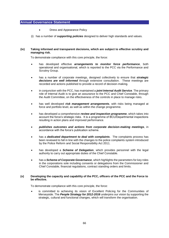- Dress and Appearance Policy
- (i) has a number of *supporting policies* designed to deliver high standards and values.

### **(iv) Taking informed and transparent decisions, which are subject to effective scrutiny and managing risk.**

To demonstrate compliance with this core principle, the force:

- has developed effective *arrangements to monitor force performance*, both operational and organisational, which is reported to the PCC via the Performance and Scrutiny Group.
- has a number of corporate meetings, designed collectively to ensure that *strategic decisions are well informed* through extensive consultation. These meetings are recorded and actions published to provide a record of decision-making.
- in conjunction with the PCC, has maintained a *joint Internal Audit Service*. The primary role of Internal Audit is to give an assurance to the PCC and Chief Constable, through the Audit Committee, on the effectiveness of the controls in place to manage risks.
- has well developed *risk management arrangements*, with risks being managed at force and portfolio level, as well as within the change programme.
- has developed a comprehensive *review and inspection programme*, which takes into account the force's strategic risks. It is a programme of BCU/Departmental inspections resulting in action plans and improved performance.
- *publishes outcomes and actions from corporate decision-making meetings*, in accordance with the force's publication scheme.
- has a *dedicated department to deal with complaints*. The complaints process has been reviewed to fall in line with the changes to the police complaints system introduced by the Police Reform and Social Responsibility Act 2011.
- has developed a *Scheme of Delegation*, which provides personnel with the legal authority to carry out appropriate duties of the Chief Constable.
- has a *Scheme of Corporate Governance*, which highlights the parameters for key roles in the corporations sole including consents or delegations from the Commissioner and Chief Constable, financial regulations, contract standing orders and limits.

### **(v) Developing the capacity and capability of the PCC, officers of the PCC and the Force to be effective.**

To demonstrate compliance with this core principle, the force:

 is committed to achieving its vision of Excellent Policing for the Communities of Merseyside. The *People Strategy for 2012-2016* underpins our vision by supporting the strategic, cultural and functional changes, which will transform the organisation.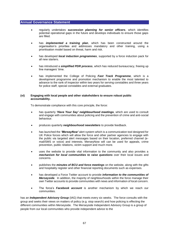- regularly undertakes *succession planning for senior officers*, which identifies potential operational gaps in the future and develops individuals to ensure those gaps are filled.
- has *implemented a training plan*, which has been constructed around the organisation's priorities and addresses mandatory and other training, using a prioritisation model based on threat, harm and risk.
- has developed *local induction programmes*, supported by a force induction pack for all new starters.
- has introduced a *simplified PDR process*, which has reduced bureaucracy, freeing up line managers' time.
- has implemented the College of Policing *Fast Track Programme*, which is a development programme and promotion mechanism to enable the most talented to advance to the rank of inspector within two years for serving constables and three years for police staff, special constables and external graduates.

#### **(vi) Engaging with local people and other stakeholders to ensure robust public accountability.**

To demonstrate compliance with this core principle, the force:

- has quarterly *'Have Your Say' neighbourhood meetings*, which are used to consult and engage with communities about policing and the prevention of crime and anti-social behaviour.
- produces quarterly *neighbourhood newsletters* to provide feedback.
- has launched the *'MerseyNow'* alert system which is a communication tool designed for UK Police forces which will allow the force and other partner agencies to engage with the public via targeted alert messages based on their location, preferred channel (email/SMS or voice) and interests. MerseyNow will can be used for appeals, crime prevention, public relations, victim support and much more.
- uses the website to provide vital information to the community and also provides a *mechanism for local communities to raise questions* over their local issues and concerns.
- publishes the *minutes of BCU and force meetings* on the website, along with the gifts and hospitality register and other financial reporting documents such as expenses.
- has developed a Force Twitter account to provide *information to the communities of Merseyside*. In addition, the majority of neighbourhoods within the force manage their own Twitter accounts to provide communities with news and information of local concern.
- The force's *Facebook account* is another mechanism by which we reach our communities.

has an *Independent Advisory Group* (IAG) that meets every six weeks. The force consults with the group and seeks their views on matters of policy (e.g. stop search) and how policing is effecting the different communities within Merseyside. The Merseyside Independent Advisory Group is a group of people from our local communities who provide independent advice to the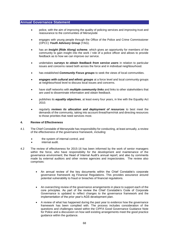- police, with the aim of improving the quality of policing services and improving trust and reassurance to the communities of Merseyside
- engages with young people through the Office of the Police and Crime Commissioner (OPCC) *Youth Advisory Group* (YAG).
- has an *Insight (Ride Along) scheme*, which gives an opportunity for members of the community to gain insight into the work / role of a police officer and allows to provide feedback as to how we can improve our service.
- undertakes *surveys to obtain feedback from service users* in relation to particular issues and concerns raised both across the force and in individual neighbourhood.
- has established *Community Focus groups* to seek the views of local communities.
- *engages with cultural and ethnic groups* at a force level and local community groups at neighbourhood level to discuss local issues and concerns.
- have staff networks with *multiple community links* and links to other stakeholders that are used to disseminate information and obtain feedback.
- publishes its *equality objectives*, at least every four years, in line with the Equality Act 2010.
- regularly *reviews its allocation and deployment of resources* to best meet the demands of the community, taking into account threat/harm/risk and directing resources to those priorities that need services most.

### **4. Review of Effectiveness**

- 4.1 The Chief Constable of Merseyside has responsibility for conducting, at least annually, a review of the effectiveness of the governance framework, including:
	- the system of internal control, and
	- internal audit.
- 4.2 The review of effectiveness for 2015-16 has been informed by the work of senior managers within the force, who have responsibility for the development and maintenance of the governance environment; the Head of Internal Audit's annual report; and also by comments made by external auditors and other review agencies and inspectorates. The review also comprises:
	- An annual review of the key documents within the Chief Constable's corporate governance framework eg Financial Regulations. This provides assurance around potential vulnerability to fraud or breaches of financial regulations.
	- An overarching review of the governance arrangements in place to support each of the core principles. As part of the review the Chief Constable's Code of Corporate Governance is updated to reflect changes to the governance framework and the implementation of the prior year's AGS development plan.
	- A review of what has happened during the past year to evidence how the governance framework has been complied with. The process includes consideration of the questions and challenges raised within the CIPFA Good Governance Guidance Note for Police and a discussion on how well existing arrangements meet the good practice guidance within the guidance.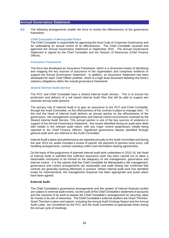4.3 The following arrangements enable the force to review the effectiveness of the governance framework:

#### *Chief Constable of Merseyside Police*

The Chief Constable is responsible for approving the local Code of Corporate Governance and for undertaking an annual review of its effectiveness. The Chief Constable received and approved the Annual Governance Statement in September 2015. The Annual Governance Statement is signed by the Chief Constable and the Director of Resources (Chief Finance Officer).

#### *Assurance Framework*

The force has developed an Assurance Framework, which is a structured means of identifying and mapping the key sources of assurance in the organisation and comprises evidence to support the Annual Governance Statement. In addition, an Assurance Statement has been developed for each Chief Officer portfolio, which is a high level document detailing the force's statutory obligations within the overall governance framework.

### *Shared Internal Audit Service*

The PCC and Chief Constable have a shared Internal Audit Service. This is to ensure the production and delivery of a risk based Internal Audit Plan that will be able to support two separate annual audit opinions.

The primary role of Internal Audit is to give an assurance to the PCC and Chief Constable, through the Audit Committee, on the effectiveness of the controls in place to manage risks. To this end the Head of Internal Audit delivers an annual opinion on the effectiveness of the governance, risk management arrangements and internal control environment reviewed by the Shared Internal Audit Service. This annual opinion is one of the key sources of evidence in support of the Annual Governance Statement. Any issues identified during an audit were dealt with initially in the relevant audit report, with any major control weaknesses initially being reported to the Chief Finance Officers. Significant governance failures identified through general audit work are referred to the Audit Committee.

Internal Audit's plans and performance are reported annually to the Audit Committee and during the year 2015-16, audits included a review of payroll, the payment of pension lump sums, call handling arrangements, contract standing orders and information sharing agreements.

On the basis of the programme of planned internal audit work undertaken in 2015-16, the Head of Internal Audit is satisfied that sufficient assurance work has been carried out to allow a reasonable conclusion to be formed on the adequacy of risk management, governance and internal control. It is the opinion that the Chief Constable for Merseyside's risk management, governance and control arrangements are reasonable and audit testing has confirmed that controls are generally working effectively in practice. Where internal audit work has identified scope for improvements, the management response has been appropriate and action plans have been agreed.

### **External Audit**

The Chief Constable's governance arrangements and the system of internal financial control are subject to external audit review, via the audit of the Chief Constable's statement of accounts and the outcome of its work to assess the Chief Constable's arrangements for securing value for money in its use of resources. The Chief Constable's external auditors are Grant Thornton. Grant Thornton's plans and reports, including the Annual Audit Findings Report and the Annual Audit Letter, are considered by the PCC and the Audit Committee at appropriate times during the annual cycle of meetings.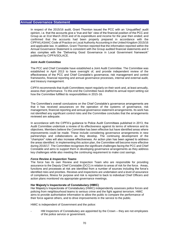In respect of the 2015/16 audit, Grant Thornton issued the PCC with an 'Unqualified' audit opinion, i.e. that the accounts give a 'true and fair' view of the financial position of the PCC and Group as at 31st March 2016 and of its expenditure and income for the year then ended; and confirmed that the accounts had been properly prepared in accordance with the CIPFA/LASAAC Code of Practice on Local Authority Accounting in the United Kingdom 2015/16 and applicable law. In addition, Grant Thornton reported that the information reported within the Annual Governance Statement is consistent with the Group audited financial statements and it also complies with the "Delivering Good Governance in Local Government framework" published by CIPFA/SOLACE.

### **Joint Audit Committee**

The PCC and Chief Constable have established a Joint Audit Committee. The Committee was established in April 2013 to have oversight of, and provide independent review of the effectiveness of the PCC and Chief Constable's governance, risk management and control frameworks, financial reporting and annual governance processes, internal and external audit, and treasury management.

CIPFA recommends that Audit Committees report regularly on their work and, at least annually, assess their performance. To this end the Committee have drafted its annual report setting out how the Committee fulfilled its responsibilities in 2015-16.

The Committee's overall conclusions on the Chief Constable's governance arrangements are that it has received assurances on the operation of the systems of governance, risk management, financial reporting and annual governance statement arrangements. Its work has not identified any significant control risks and the Committee concludes that the arrangements reviewed are adequate.

In accordance with the CIPFA's guidance to Police Audit Committees published in 2013, the Audit Committee undertook a review of its effectiveness against its terms of reference and its objectives. Members believe the Committee has been effective but have identified areas where improvements could be made. These include considering governance arrangements in new partnerships and collaborations as they develop. The continuing development of the "champion" roles will also increase effectiveness. An action plan has been agreed to address the areas identified. In implementing this action plan, the Committee will become more effective during 2016/17. The Committee recognises the significant challenges facing the PCC and Chief Constable and aims to support them in developing governance arrangements as they address key challenges while also meeting the continuing requirement to make cost savings.

#### *Force Review & Inspection Teams*

The force has its own Review and Inspection Team who are responsible for providing assurance to the Deputy Chief Constable (DCC) in relation to areas of risk for the force. Areas, functions and processes at risk are identified from a number of sources including the force's identified risks and priorities. Reviews and inspections are undertaken and a level of assurance of compliance, fitness for purpose and risk is reported to back to individual Chief Officers and action plans monitored via appropriate governance meetings.

## **Her Majesty's Inspectorate of Constabulary (HMIC)**

Her Majesty's Inspectorate of Constabulary (HMIC) independently assesses police forces and policing from neighbourhood teams to serious crime and the fight against terrorism. HMIC aims to provide authoritative information to allow the public to compare the performance of their force against others, and to drive improvements in the service to the public.

HMIC is independent of Government and the police:

- HM Inspectors of Constabulary are appointed by the Crown – they are not employees of the police service or government.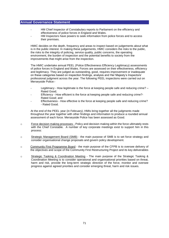- HM Chief Inspector of Constabulary reports to Parliament on the efficiency and effectiveness of police forces in England and Wales.
- HM Inspectors have powers to seek information from police forces and to access their premises.

HMIC decides on the depth, frequency and areas to inspect based on judgements about what is in the public interest. In making these judgements, HMIC considers the risks to the public, the risks to the integrity of policing, service quality, public concerns, the operating environment, the burden of inspection and the potential benefits to society from the improvements that might arise from the inspection.

The HMIC undertake annual PEEL (Police Effectiveness Efficiency Legitimacy) assessments of police forces in England and Wales. Forces are assessed on their effectiveness, efficiency and legitimacy. They are judged as outstanding, good, requires improvement or inadequate on these categories based on inspection findings, analysis and Her Majesty's Inspectors' professional judgment across the year. The following PEEL inspections were carried out on Merseyside Police:-

- Legitimacy How legitimate is the force at keeping people safe and reducing crime? -Rated Good;
- Efficiency How efficient is the force at keeping people safe and reducing crime?-Rated Good; and
- Effectiveness How effective is the force at keeping people safe and reducing crime? - Rated Good.

At the end of the PEEL year (in February), HMIs bring together all the judgments made throughout the year together with other findings and information to produce a rounded annual assessment of each force. Merseyside Police has been assessed as Good.

- o Force decision making processes Policy and decision making within the force ultimately rests with the Chief Constable. A number of key corporate meetings exist to support him in this process:
- o Strategic Management Board (SMB) the main purpose of SMB is to set force strategy and consider organisational change proposals and govern policy development.
- o Community First Programme Board the main purpose of the CFPB is to oversee delivery of the objectives and scope of the Community First Restructuring Project and its key deliverables
- o Strategic Tasking & Coordination Meeting The main purpose of the Strategic Tasking & Coordination Meeting is to consider operational and organisational priorities based on threat, harm and risk, provide the long-term strategic direction of the force, monitor and oversee progress against agreed priorities and consider emerging threat, harm and risk issues.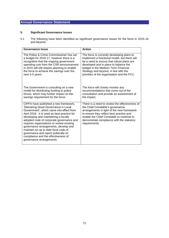# **5. Significant Governance Issues**

5.1 The following have been identified as significant governance issues for the force in 2015-16 and beyond.

| Governance Issue                                                                                                                                                                                                                                                                                                                                                                                                                                                                                    | <b>Action</b>                                                                                                                                                                                                                                                                           |
|-----------------------------------------------------------------------------------------------------------------------------------------------------------------------------------------------------------------------------------------------------------------------------------------------------------------------------------------------------------------------------------------------------------------------------------------------------------------------------------------------------|-----------------------------------------------------------------------------------------------------------------------------------------------------------------------------------------------------------------------------------------------------------------------------------------|
| The Police & Crime Commissioner has set                                                                                                                                                                                                                                                                                                                                                                                                                                                             | The force is currently developing plans to                                                                                                                                                                                                                                              |
| a budget for 2016-17, however there is a                                                                                                                                                                                                                                                                                                                                                                                                                                                            | implement a functional model, but there will                                                                                                                                                                                                                                            |
| recognition that the ongoing government                                                                                                                                                                                                                                                                                                                                                                                                                                                             | be a need to ensure that robust plans are                                                                                                                                                                                                                                               |
| spending cuts from the CSR announcement                                                                                                                                                                                                                                                                                                                                                                                                                                                             | developed and in place to balance the                                                                                                                                                                                                                                                   |
| in 2015 will still require planning to enable                                                                                                                                                                                                                                                                                                                                                                                                                                                       | budget in the Medium Term Financial                                                                                                                                                                                                                                                     |
| the force to achieve the savings over the                                                                                                                                                                                                                                                                                                                                                                                                                                                           | Strategy and beyond, in line with the                                                                                                                                                                                                                                                   |
| next 3-5 years.                                                                                                                                                                                                                                                                                                                                                                                                                                                                                     | priorities of the organisation and the PCC.                                                                                                                                                                                                                                             |
| The Government is consulting on a new                                                                                                                                                                                                                                                                                                                                                                                                                                                               | The force will closely monitor any                                                                                                                                                                                                                                                      |
| model for distributing funding to police                                                                                                                                                                                                                                                                                                                                                                                                                                                            | recommendations that come out of the                                                                                                                                                                                                                                                    |
| forces, which may further impact on the                                                                                                                                                                                                                                                                                                                                                                                                                                                             | consultation and provide an assessment of                                                                                                                                                                                                                                               |
| savings requirement for the force.                                                                                                                                                                                                                                                                                                                                                                                                                                                                  | the impact.                                                                                                                                                                                                                                                                             |
| CIPFA have published a new framework,<br>'Delivering Good Governance in Local<br>Government', which came into effect from<br>April 2016. It is used as best practice for<br>developing and maintaining a locally<br>adopted code of corporate governance and<br>requires organisations to review existing<br>governance arrangements, develop and<br>maintain an up to date local code of<br>governance and report publically on<br>compliance and the effectiveness of<br>governance arrangements. | There is a need to review the effectiveness of<br>the Chief Constable's governance<br>arrangements in light of the new framework<br>to ensure they reflect best practice and<br>enable the Chief Constable to continue to<br>demonstrate compliance with the statutory<br>requirements. |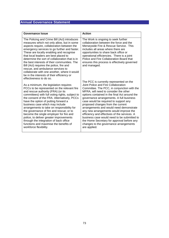| Governance Issue                                                                                                                                                                                                                                                                                                                                                                                                                                                                                                                                                                                       | <b>Action</b>                                                                                                                                                                                                                                                                                                                                                                                                                                                                                                                                                                                                                                 |
|--------------------------------------------------------------------------------------------------------------------------------------------------------------------------------------------------------------------------------------------------------------------------------------------------------------------------------------------------------------------------------------------------------------------------------------------------------------------------------------------------------------------------------------------------------------------------------------------------------|-----------------------------------------------------------------------------------------------------------------------------------------------------------------------------------------------------------------------------------------------------------------------------------------------------------------------------------------------------------------------------------------------------------------------------------------------------------------------------------------------------------------------------------------------------------------------------------------------------------------------------------------------|
| The Policing and Crime Bill (Act) introduces<br>measures which not only allow, but in some<br>aspects require, collaboration between the<br>emergency services to go further and faster.<br>These are locally enabling and recognise<br>that local leaders are best placed to<br>determine the sort of collaboration that is in<br>the best interests of their communities. The<br>Bill (Act) requires the police, fire and<br>rescue, and ambulance services to<br>collaborate with one another, where it would<br>be in the interests of their efficiency or<br>effectiveness to do so.              | The Work is ongoing to seek further<br>collaboration between the force and the<br>Merseyside Fire & Rescue Service. This<br>includes all areas where there are<br>opportunities to share back office or<br>operational efficiencies. There is a joint<br>Police and Fire Collaboration Board that<br>ensures this process is effectively governed<br>and managed.                                                                                                                                                                                                                                                                             |
| As a minimum, the legislation requires<br>PCCs to be represented on the relevant fire<br>and rescue authority (FRA) (or its<br>committees) with full voting rights, subject to<br>the consent of the FRA. Alternatively, PCCs<br>have the option of putting forward a<br>business case which may include<br>arrangements to take on responsibility for<br>the governance of fire and rescue; or to<br>become the single employer for fire and<br>police, to deliver greater improvements<br>through the integration of back office<br>functions and maximise the benefits of<br>workforce flexibility. | The PCC is currently represented on the<br>Joint Police and Fire Collaboration<br>Committee. The PCC, in conjunction with the<br>MFRA, will need to consider the other<br>options contained in the final Act around the<br>governance arrangements. A full business<br>case would be required to support any<br>proposed changes from the current<br>arrangements and would need demonstrate<br>any new arrangements would improve the<br>efficiency and effectives of the services. A<br>business case would need to be submitted to<br>the Home Secretary for approval before any<br>changes to the governance arrangements<br>are applied. |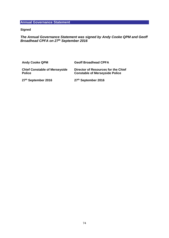# **Signed**

# *The Annual Governance Statement was signed by Andy Cooke QPM and Geoff Broadhead CPFA on 27th September 2016*

| <b>Andy Cooke QPM</b>                                 | <b>Geoff Broadhead CPFA</b>                                                  |
|-------------------------------------------------------|------------------------------------------------------------------------------|
| <b>Chief Constable of Merseyside</b><br><b>Police</b> | Director of Resources for the Chief<br><b>Constable of Merseyside Police</b> |
| 27th September 2016                                   | 27th September 2016                                                          |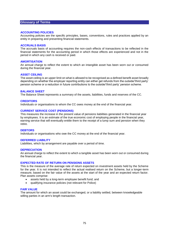## **Glossary of Terms**

#### **ACCOUNTING POLICIES**

Accounting policies are the specific principles, bases, conventions, rules and practices applied by an entity in preparing and presenting financial statements.

#### **ACCRUALS BASIS**

The accruals basis of accounting requires the non-cash effects of transactions to be reflected in the financial statements for the accounting period in which those effects are experienced and not in the period in which any cash is received or paid.

#### **AMORTISATION**

An annual charge to reflect the extent to which an intangible asset has been worn out or consumed during the financial year.

#### **ASSET CEILING**

The asset ceiling is an upper limit on what is allowed to be recognised as a defined benefit asset broadly depending on whether the employer reporting entity can either get refunds from the outside/'third party' pension scheme or a reduction in future contributions to the outside/'third party' pension scheme.

#### **BALANCE SHEET**

The Balance Sheet represents a summary of the assets, liabilities, funds and reserves of the CC.

#### **CREDITORS**

Individuals or organisations to whom the CC owes money at the end of the financial year.

#### **CURRENT SERVICE COST (PENSIONS)**

This measures the increase in the present value of pensions liabilities generated in the financial year by employees. It is an estimate of the true economic cost of employing people in the financial year, earning service that will eventually entitle them to the receipt of a lump sum and pension when they retire.

#### **DEBTORS**

Individuals or organisations who owe the CC money at the end of the financial year.

#### **DEFERRED LIABILITY**

Liabilities, which by arrangement are payable over a period of time.

#### **DEPRECIATION**

An annual charge to reflect the extent to which a tangible asset has been worn out or consumed during the financial year.

#### **EXPECTED RATE OF RETURN ON PENSIONS ASSETS**

This is the measure of the average rate of return expected on investment assets held by the Scheme for the year. It is not intended to reflect the actual realised return on the Scheme, but a longer-term measure, based on the fair value of the assets at the start of the year and an expected return factor. Plan assets comprise:

- assets held by a long-term employee benefit fund; and
- qualifying insurance policies (not relevant for Police)

#### **FAIR VALUE**

The amount for which an asset could be exchanged, or a liability settled, between knowledgeable willing parties in an arm's length transaction.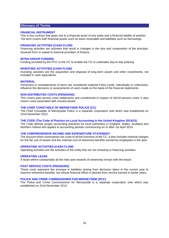# **Glossary of Terms**

#### **FINANCIAL INSTRUMENT**

This is any contract that gives rise to a financial asset of one entity and a financial liability of another. The term covers both financial assets such as loans receivable and liabilities such as borrowings.

#### **FINANCING ACTIVITIES (CASH FLOW)**

Financing activities are activities that result in changes in the size and composition of the principal, received from or repaid to external providers of finance.

#### **INTRA-GROUP FUNDING**

Funding provided by the PCC to the CC to enable the CC to undertake day-to-day policing.

#### **INVESTING ACTIVITIES (CASH FLOW)**

Investing activities are the acquisition and disposal of long-term assets and other investments, not included in cash equivalents.

#### **MATERIAL**

Omissions or misstatements of items are considered material if they could, individually or collectively, influence the decisions or assessments of users made on the basis of the financial statements.

## **NON DISTRIBUTED COSTS (PENSIONS)**

This covers past service costs settlements and curtailments in respect of IAS19 pension costs. It also covers costs associated with unused assets.

### **THE CHIEF CONSTABLE OF MERSEYSIDE POLICE (CC)**

The Chief Constable of Merseyside Police is a separate corporation sole which was established on 22nd November 2012.

#### **THE CODE (The Code of Practice on Local Accounting in the United Kingdom 2014/15)**

The Code defines proper accounting practices for local authorities in England, Wales, Scotland and Northern Ireland and applies to accounting periods commencing on or after 1st April 2014.

#### **THE COMPREHENSIVE INCOME AND EXPENDITURE STATEMENT**

The account which summarises the costs of all the functions of the CC. It also includes notional charges for the fair use of assets and the notional cost of retirement benefits earned by employees in the year.

#### **OPERATING ACTIVITIES (CASH FLOW)**

Operating activities are the activities of the entity that are not investing or financing activities.

#### **OPERATING LEASE**

A lease where substantially all the risks and rewards of ownership remain with the lessor.

#### **PAST SERVICE COSTS (PENSIONS)**

These costs represent the increase in liabilities arising from decisions taken in the current year to improve retirement benefits, but whose financial effect is derived from service earned in earlier years.

### **POLICE AND CRIME COMMISSIONER FOR MERSEYSIDE (PCC)**

The Police and Crime Commissioner for Merseyside is a separate corporation sole which was established on 22nd November 2012.